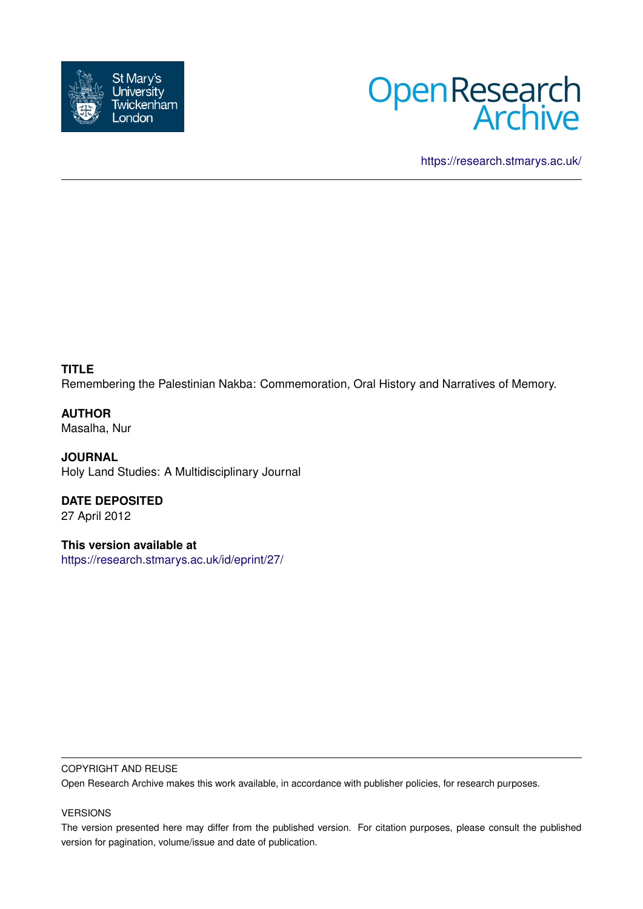



<https://research.stmarys.ac.uk/>

**TITLE** Remembering the Palestinian Nakba: Commemoration, Oral History and Narratives of Memory.

**AUTHOR** Masalha, Nur

**JOURNAL** Holy Land Studies: A Multidisciplinary Journal

**DATE DEPOSITED** 27 April 2012

**This version available at** <https://research.stmarys.ac.uk/id/eprint/27/>

# COPYRIGHT AND REUSE

Open Research Archive makes this work available, in accordance with publisher policies, for research purposes.

# VERSIONS

The version presented here may differ from the published version. For citation purposes, please consult the published version for pagination, volume/issue and date of publication.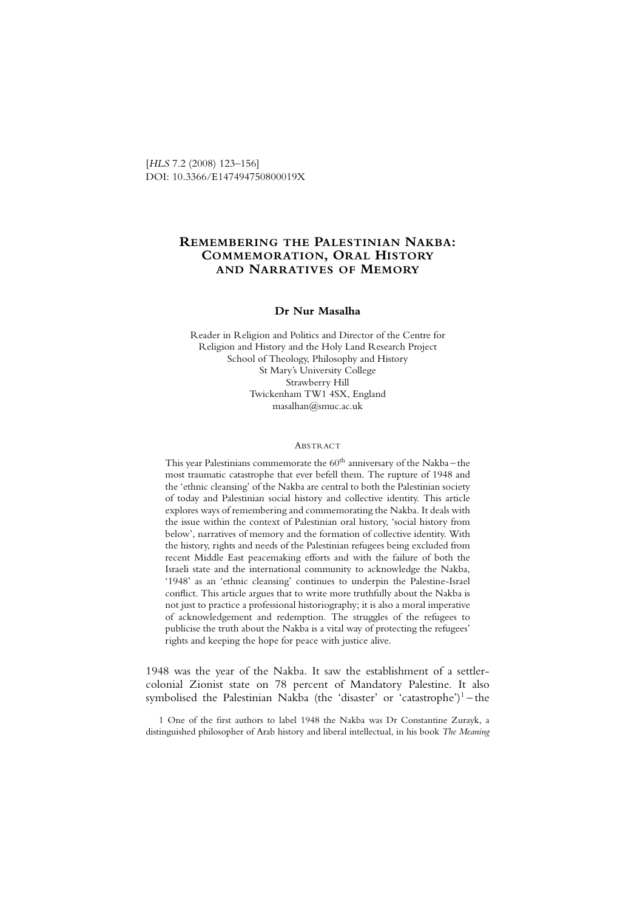[*HLS* 7.2 (2008) 123–156] DOI: 10.3366/E147494750800019X

# **REMEMBERING THE PALESTINIAN NAKBA: COMMEMORATION, ORAL HISTORY AND NARRATIVES OF MEMORY**

#### **Dr Nur Masalha**

Reader in Religion and Politics and Director of the Centre for Religion and History and the Holy Land Research Project School of Theology, Philosophy and History St Mary's University College Strawberry Hill Twickenham TW1 4SX, England masalhan@smuc.ac.uk

## ABSTRACT

This year Palestinians commemorate the  $60<sup>th</sup>$  anniversary of the Nakba – the most traumatic catastrophe that ever befell them. The rupture of 1948 and the 'ethnic cleansing' of the Nakba are central to both the Palestinian society of today and Palestinian social history and collective identity. This article explores ways of remembering and commemorating the Nakba. It deals with the issue within the context of Palestinian oral history, 'social history from below', narratives of memory and the formation of collective identity. With the history, rights and needs of the Palestinian refugees being excluded from recent Middle East peacemaking efforts and with the failure of both the Israeli state and the international community to acknowledge the Nakba, '1948' as an 'ethnic cleansing' continues to underpin the Palestine-Israel conflict. This article argues that to write more truthfully about the Nakba is not just to practice a professional historiography; it is also a moral imperative of acknowledgement and redemption. The struggles of the refugees to publicise the truth about the Nakba is a vital way of protecting the refugees' rights and keeping the hope for peace with justice alive.

1948 was the year of the Nakba. It saw the establishment of a settlercolonial Zionist state on 78 percent of Mandatory Palestine. It also symbolised the Palestinian Nakba (the 'disaster' or 'catastrophe')<sup>1</sup> – the

1 One of the first authors to label 1948 the Nakba was Dr Constantine Zurayk, a distinguished philosopher of Arab history and liberal intellectual, in his book *The Meaning*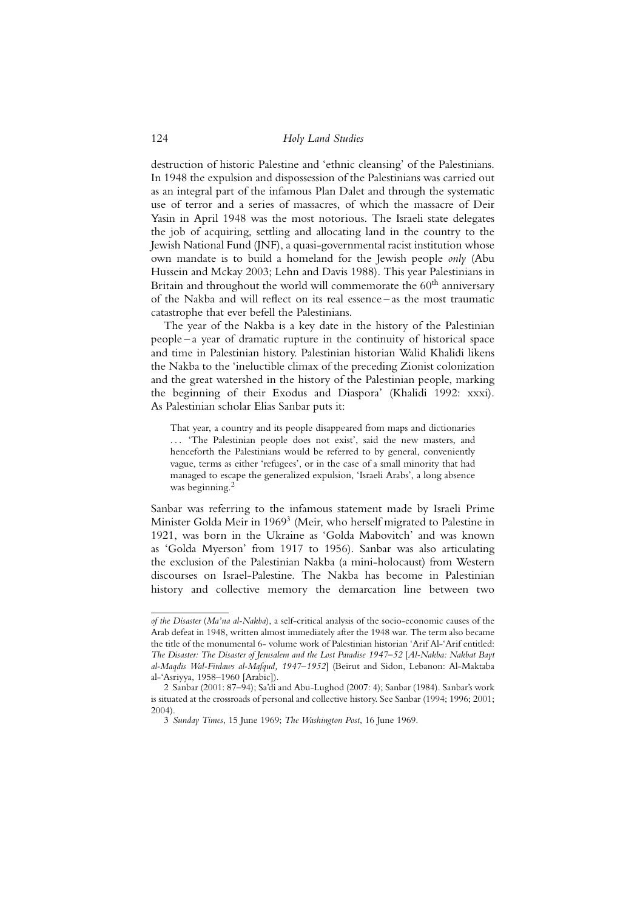destruction of historic Palestine and 'ethnic cleansing' of the Palestinians. In 1948 the expulsion and dispossession of the Palestinians was carried out as an integral part of the infamous Plan Dalet and through the systematic use of terror and a series of massacres, of which the massacre of Deir Yasin in April 1948 was the most notorious. The Israeli state delegates the job of acquiring, settling and allocating land in the country to the Jewish National Fund (JNF), a quasi-governmental racist institution whose own mandate is to build a homeland for the Jewish people *only* (Abu Hussein and Mckay 2003; Lehn and Davis 1988). This year Palestinians in Britain and throughout the world will commemorate the  $60<sup>th</sup>$  anniversary of the Nakba and will reflect on its real essence – as the most traumatic catastrophe that ever befell the Palestinians.

The year of the Nakba is a key date in the history of the Palestinian people – a year of dramatic rupture in the continuity of historical space and time in Palestinian history. Palestinian historian Walid Khalidi likens the Nakba to the 'ineluctible climax of the preceding Zionist colonization and the great watershed in the history of the Palestinian people, marking the beginning of their Exodus and Diaspora' (Khalidi 1992: xxxi). As Palestinian scholar Elias Sanbar puts it:

That year, a country and its people disappeared from maps and dictionaries . . . 'The Palestinian people does not exist', said the new masters, and henceforth the Palestinians would be referred to by general, conveniently vague, terms as either 'refugees', or in the case of a small minority that had managed to escape the generalized expulsion, 'Israeli Arabs', a long absence was beginning.<sup>2</sup>

Sanbar was referring to the infamous statement made by Israeli Prime Minister Golda Meir in 1969<sup>3</sup> (Meir, who herself migrated to Palestine in 1921, was born in the Ukraine as 'Golda Mabovitch' and was known as 'Golda Myerson' from 1917 to 1956). Sanbar was also articulating the exclusion of the Palestinian Nakba (a mini-holocaust) from Western discourses on Israel-Palestine. The Nakba has become in Palestinian history and collective memory the demarcation line between two

*of the Disaster* (*Ma'na al-Nakba*), a self-critical analysis of the socio-economic causes of the Arab defeat in 1948, written almost immediately after the 1948 war. The term also became the title of the monumental 6- volume work of Palestinian historian 'Arif Al-'Arif entitled: *The Disaster: The Disaster of Jerusalem and the Lost Paradise 1947–52* [*Al-Nakba: Nakbat Bayt al-Maqdis Wal-Firdaws al-Mafqud, 1947–1952*] (Beirut and Sidon, Lebanon: Al-Maktaba al-'Asriyya, 1958–1960 [Arabic]).

<sup>2</sup> Sanbar (2001: 87–94); Sa'di and Abu-Lughod (2007: 4); Sanbar (1984). Sanbar's work is situated at the crossroads of personal and collective history. See Sanbar (1994; 1996; 2001; 2004).

<sup>3</sup> *Sunday Times*, 15 June 1969; *The Washington Post*, 16 June 1969.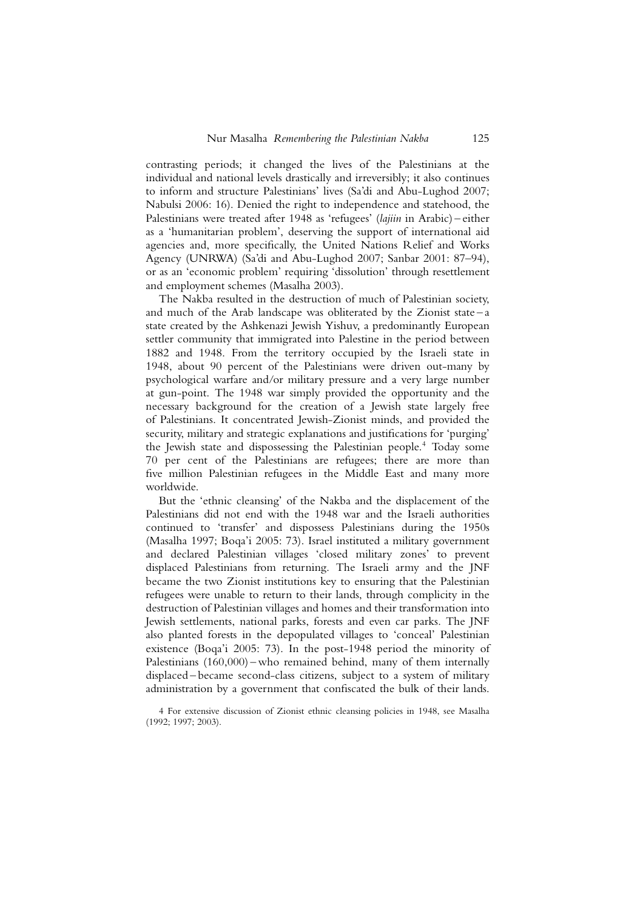contrasting periods; it changed the lives of the Palestinians at the individual and national levels drastically and irreversibly; it also continues to inform and structure Palestinians' lives (Sa'di and Abu-Lughod 2007; Nabulsi 2006: 16). Denied the right to independence and statehood, the Palestinians were treated after 1948 as 'refugees' (*lajiin* in Arabic) – either as a 'humanitarian problem', deserving the support of international aid agencies and, more specifically, the United Nations Relief and Works Agency (UNRWA) (Sa'di and Abu-Lughod 2007; Sanbar 2001: 87–94), or as an 'economic problem' requiring 'dissolution' through resettlement and employment schemes (Masalha 2003).

The Nakba resulted in the destruction of much of Palestinian society, and much of the Arab landscape was obliterated by the Zionist state  $-a$ state created by the Ashkenazi Jewish Yishuv, a predominantly European settler community that immigrated into Palestine in the period between 1882 and 1948. From the territory occupied by the Israeli state in 1948, about 90 percent of the Palestinians were driven out-many by psychological warfare and/or military pressure and a very large number at gun-point. The 1948 war simply provided the opportunity and the necessary background for the creation of a Jewish state largely free of Palestinians. It concentrated Jewish-Zionist minds, and provided the security, military and strategic explanations and justifications for 'purging' the Jewish state and dispossessing the Palestinian people.4 Today some 70 per cent of the Palestinians are refugees; there are more than five million Palestinian refugees in the Middle East and many more worldwide.

But the 'ethnic cleansing' of the Nakba and the displacement of the Palestinians did not end with the 1948 war and the Israeli authorities continued to 'transfer' and dispossess Palestinians during the 1950s (Masalha 1997; Boqa'i 2005: 73). Israel instituted a military government and declared Palestinian villages 'closed military zones' to prevent displaced Palestinians from returning. The Israeli army and the JNF became the two Zionist institutions key to ensuring that the Palestinian refugees were unable to return to their lands, through complicity in the destruction of Palestinian villages and homes and their transformation into Jewish settlements, national parks, forests and even car parks. The JNF also planted forests in the depopulated villages to 'conceal' Palestinian existence (Boqa'i 2005: 73). In the post-1948 period the minority of Palestinians (160,000) – who remained behind, many of them internally displaced – became second-class citizens, subject to a system of military administration by a government that confiscated the bulk of their lands.

<sup>4</sup> For extensive discussion of Zionist ethnic cleansing policies in 1948, see Masalha (1992; 1997; 2003).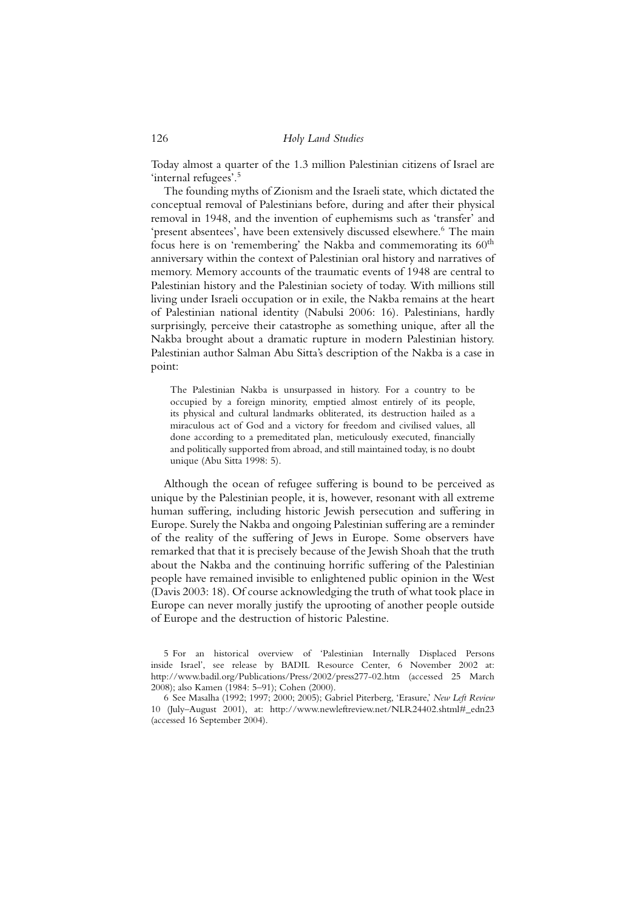Today almost a quarter of the 1.3 million Palestinian citizens of Israel are 'internal refugees'.5

The founding myths of Zionism and the Israeli state, which dictated the conceptual removal of Palestinians before, during and after their physical removal in 1948, and the invention of euphemisms such as 'transfer' and 'present absentees', have been extensively discussed elsewhere.<sup>6</sup> The main focus here is on 'remembering' the Nakba and commemorating its 60<sup>th</sup> anniversary within the context of Palestinian oral history and narratives of memory. Memory accounts of the traumatic events of 1948 are central to Palestinian history and the Palestinian society of today. With millions still living under Israeli occupation or in exile, the Nakba remains at the heart of Palestinian national identity (Nabulsi 2006: 16). Palestinians, hardly surprisingly, perceive their catastrophe as something unique, after all the Nakba brought about a dramatic rupture in modern Palestinian history. Palestinian author Salman Abu Sitta's description of the Nakba is a case in point:

The Palestinian Nakba is unsurpassed in history. For a country to be occupied by a foreign minority, emptied almost entirely of its people, its physical and cultural landmarks obliterated, its destruction hailed as a miraculous act of God and a victory for freedom and civilised values, all done according to a premeditated plan, meticulously executed, financially and politically supported from abroad, and still maintained today, is no doubt unique (Abu Sitta 1998: 5).

Although the ocean of refugee suffering is bound to be perceived as unique by the Palestinian people, it is, however, resonant with all extreme human suffering, including historic Jewish persecution and suffering in Europe. Surely the Nakba and ongoing Palestinian suffering are a reminder of the reality of the suffering of Jews in Europe. Some observers have remarked that that it is precisely because of the Jewish Shoah that the truth about the Nakba and the continuing horrific suffering of the Palestinian people have remained invisible to enlightened public opinion in the West (Davis 2003: 18). Of course acknowledging the truth of what took place in Europe can never morally justify the uprooting of another people outside of Europe and the destruction of historic Palestine.

5 For an historical overview of 'Palestinian Internally Displaced Persons inside Israel', see release by BADIL Resource Center, 6 November 2002 at: http://www.badil.org/Publications/Press/2002/press277-02.htm (accessed 25 March 2008); also Kamen (1984: 5–91); Cohen (2000).

6 See Masalha (1992; 1997; 2000; 2005); Gabriel Piterberg, 'Erasure,' *New Left Review* 10 (July–August 2001), at: http://www.newleftreview.net/NLR24402.shtml#\_edn23 (accessed 16 September 2004).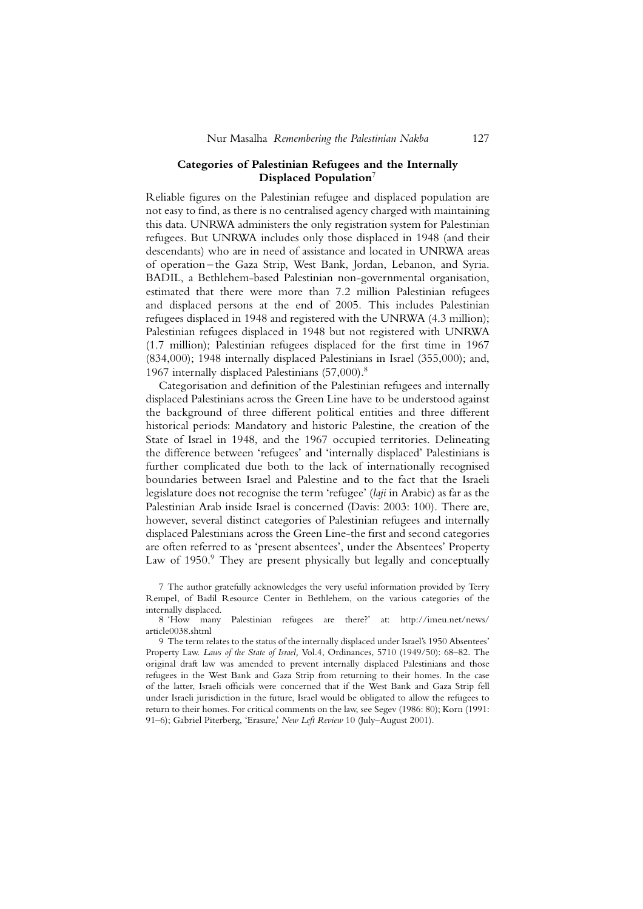## **Categories of Palestinian Refugees and the Internally Displaced Population**<sup>7</sup>

Reliable figures on the Palestinian refugee and displaced population are not easy to find, as there is no centralised agency charged with maintaining this data. UNRWA administers the only registration system for Palestinian refugees. But UNRWA includes only those displaced in 1948 (and their descendants) who are in need of assistance and located in UNRWA areas of operation – the Gaza Strip, West Bank, Jordan, Lebanon, and Syria. BADIL, a Bethlehem-based Palestinian non-governmental organisation, estimated that there were more than 7.2 million Palestinian refugees and displaced persons at the end of 2005. This includes Palestinian refugees displaced in 1948 and registered with the UNRWA (4.3 million); Palestinian refugees displaced in 1948 but not registered with UNRWA (1.7 million); Palestinian refugees displaced for the first time in 1967 (834,000); 1948 internally displaced Palestinians in Israel (355,000); and, 1967 internally displaced Palestinians (57,000).8

Categorisation and definition of the Palestinian refugees and internally displaced Palestinians across the Green Line have to be understood against the background of three different political entities and three different historical periods: Mandatory and historic Palestine, the creation of the State of Israel in 1948, and the 1967 occupied territories. Delineating the difference between 'refugees' and 'internally displaced' Palestinians is further complicated due both to the lack of internationally recognised boundaries between Israel and Palestine and to the fact that the Israeli legislature does not recognise the term 'refugee' (*laji* in Arabic) as far as the Palestinian Arab inside Israel is concerned (Davis: 2003: 100). There are, however, several distinct categories of Palestinian refugees and internally displaced Palestinians across the Green Line-the first and second categories are often referred to as 'present absentees', under the Absentees' Property Law of  $1950$ . They are present physically but legally and conceptually

7 The author gratefully acknowledges the very useful information provided by Terry Rempel, of Badil Resource Center in Bethlehem, on the various categories of the internally displaced.<br>8 'How many

Palestinian refugees are there?' at: http://imeu.net/news/ article0038.shtml

9 The term relates to the status of the internally displaced under Israel's 1950 Absentees' Property Law. *Laws of the State of Israel,* Vol.4, Ordinances, 5710 (1949/50): 68–82. The original draft law was amended to prevent internally displaced Palestinians and those refugees in the West Bank and Gaza Strip from returning to their homes. In the case of the latter, Israeli officials were concerned that if the West Bank and Gaza Strip fell under Israeli jurisdiction in the future, Israel would be obligated to allow the refugees to return to their homes. For critical comments on the law, see Segev (1986: 80); Korn (1991: 91–6); Gabriel Piterberg, 'Erasure,' *New Left Review* 10 (July–August 2001).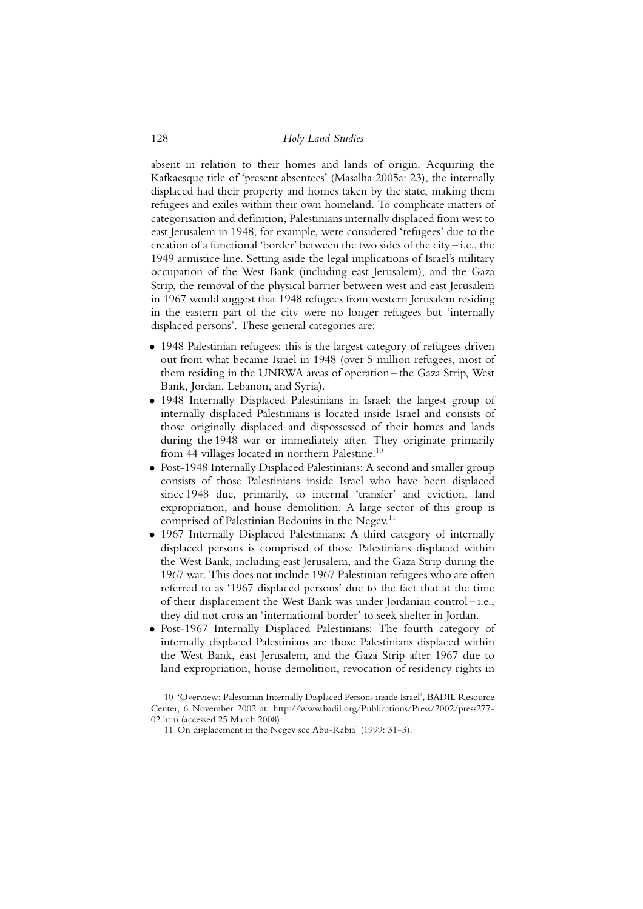absent in relation to their homes and lands of origin. Acquiring the Kafkaesque title of 'present absentees' (Masalha 2005a: 23), the internally displaced had their property and homes taken by the state, making them refugees and exiles within their own homeland. To complicate matters of categorisation and definition, Palestinians internally displaced from west to east Jerusalem in 1948, for example, were considered 'refugees' due to the creation of a functional 'border' between the two sides of the city – i.e., the 1949 armistice line. Setting aside the legal implications of Israel's military occupation of the West Bank (including east Jerusalem), and the Gaza Strip, the removal of the physical barrier between west and east Jerusalem in 1967 would suggest that 1948 refugees from western Jerusalem residing in the eastern part of the city were no longer refugees but 'internally displaced persons'. These general categories are:

- 1948 Palestinian refugees: this is the largest category of refugees driven out from what became Israel in 1948 (over 5 million refugees, most of them residing in the UNRWA areas of operation – the Gaza Strip, West Bank, Jordan, Lebanon, and Syria).
- 1948 Internally Displaced Palestinians in Israel: the largest group of internally displaced Palestinians is located inside Israel and consists of those originally displaced and dispossessed of their homes and lands during the 1948 war or immediately after. They originate primarily from 44 villages located in northern Palestine.<sup>10</sup>
- Post-1948 Internally Displaced Palestinians: A second and smaller group consists of those Palestinians inside Israel who have been displaced since 1948 due, primarily, to internal 'transfer' and eviction, land expropriation, and house demolition. A large sector of this group is comprised of Palestinian Bedouins in the Negev.<sup>11</sup>
- 1967 Internally Displaced Palestinians: A third category of internally displaced persons is comprised of those Palestinians displaced within the West Bank, including east Jerusalem, and the Gaza Strip during the 1967 war. This does not include 1967 Palestinian refugees who are often referred to as '1967 displaced persons' due to the fact that at the time of their displacement the West Bank was under Jordanian control-i.e., they did not cross an 'international border' to seek shelter in Jordan.
- Post-1967 Internally Displaced Palestinians: The fourth category of internally displaced Palestinians are those Palestinians displaced within the West Bank, east Jerusalem, and the Gaza Strip after 1967 due to land expropriation, house demolition, revocation of residency rights in

<sup>10 &#</sup>x27;Overview: Palestinian Internally Displaced Persons inside Israel', BADIL Resource Center, 6 November 2002 at: http://www.badil.org/Publications/Press/2002/press277- 02.htm (accessed 25 March 2008)

<sup>11</sup> On displacement in the Negev see Abu-Rabia' (1999: 31–3).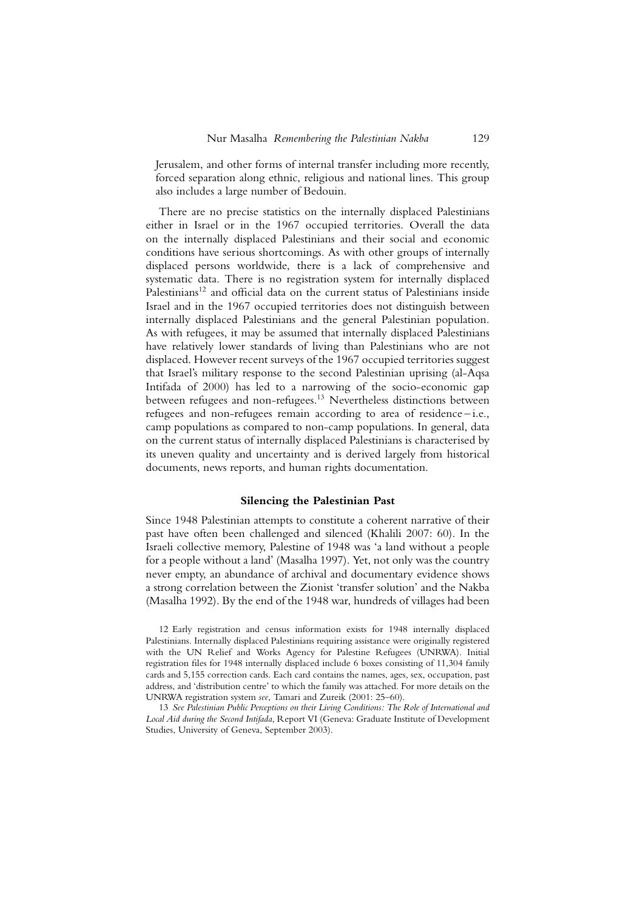Jerusalem, and other forms of internal transfer including more recently, forced separation along ethnic, religious and national lines. This group also includes a large number of Bedouin.

There are no precise statistics on the internally displaced Palestinians either in Israel or in the 1967 occupied territories. Overall the data on the internally displaced Palestinians and their social and economic conditions have serious shortcomings. As with other groups of internally displaced persons worldwide, there is a lack of comprehensive and systematic data. There is no registration system for internally displaced Palestinians<sup>12</sup> and official data on the current status of Palestinians inside Israel and in the 1967 occupied territories does not distinguish between internally displaced Palestinians and the general Palestinian population. As with refugees, it may be assumed that internally displaced Palestinians have relatively lower standards of living than Palestinians who are not displaced. However recent surveys of the 1967 occupied territories suggest that Israel's military response to the second Palestinian uprising (al-Aqsa Intifada of 2000) has led to a narrowing of the socio-economic gap between refugees and non-refugees.<sup>13</sup> Nevertheless distinctions between refugees and non-refugees remain according to area of residence – i.e., camp populations as compared to non-camp populations. In general, data on the current status of internally displaced Palestinians is characterised by its uneven quality and uncertainty and is derived largely from historical documents, news reports, and human rights documentation.

## **Silencing the Palestinian Past**

Since 1948 Palestinian attempts to constitute a coherent narrative of their past have often been challenged and silenced (Khalili 2007: 60). In the Israeli collective memory, Palestine of 1948 was 'a land without a people for a people without a land' (Masalha 1997). Yet, not only was the country never empty, an abundance of archival and documentary evidence shows a strong correlation between the Zionist 'transfer solution' and the Nakba (Masalha 1992). By the end of the 1948 war, hundreds of villages had been

12 Early registration and census information exists for 1948 internally displaced Palestinians. Internally displaced Palestinians requiring assistance were originally registered with the UN Relief and Works Agency for Palestine Refugees (UNRWA). Initial registration files for 1948 internally displaced include 6 boxes consisting of 11,304 family cards and 5,155 correction cards. Each card contains the names, ages, sex, occupation, past address, and 'distribution centre' to which the family was attached. For more details on the UNRWA registration system *see*, Tamari and Zureik (2001: 25–60).

13 *See Palestinian Public Perceptions on their Living Conditions: The Role of International and Local Aid during the Second Intifada*, Report VI (Geneva: Graduate Institute of Development Studies, University of Geneva, September 2003).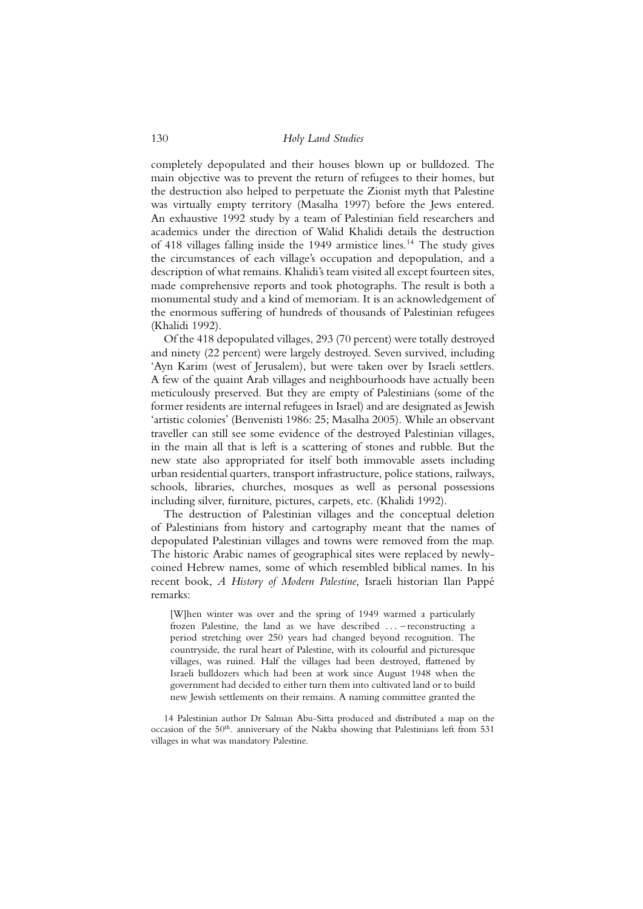completely depopulated and their houses blown up or bulldozed. The main objective was to prevent the return of refugees to their homes, but the destruction also helped to perpetuate the Zionist myth that Palestine was virtually empty territory (Masalha 1997) before the Jews entered. An exhaustive 1992 study by a team of Palestinian field researchers and academics under the direction of Walid Khalidi details the destruction of 418 villages falling inside the 1949 armistice lines.<sup>14</sup> The study gives the circumstances of each village's occupation and depopulation, and a description of what remains. Khalidi's team visited all except fourteen sites, made comprehensive reports and took photographs. The result is both a monumental study and a kind of memoriam. It is an acknowledgement of the enormous suffering of hundreds of thousands of Palestinian refugees (Khalidi 1992).

Of the 418 depopulated villages, 293 (70 percent) were totally destroyed and ninety (22 percent) were largely destroyed. Seven survived, including 'Ayn Karim (west of Jerusalem), but were taken over by Israeli settlers. A few of the quaint Arab villages and neighbourhoods have actually been meticulously preserved. But they are empty of Palestinians (some of the former residents are internal refugees in Israel) and are designated as Jewish 'artistic colonies' (Benvenisti 1986: 25; Masalha 2005). While an observant traveller can still see some evidence of the destroyed Palestinian villages, in the main all that is left is a scattering of stones and rubble. But the new state also appropriated for itself both immovable assets including urban residential quarters, transport infrastructure, police stations, railways, schools, libraries, churches, mosques as well as personal possessions including silver, furniture, pictures, carpets, etc. (Khalidi 1992).

The destruction of Palestinian villages and the conceptual deletion of Palestinians from history and cartography meant that the names of depopulated Palestinian villages and towns were removed from the map. The historic Arabic names of geographical sites were replaced by newlycoined Hebrew names, some of which resembled biblical names. In his recent book, *A History of Modern Palestine,* Israeli historian Ilan Pappé remarks:

[W]hen winter was over and the spring of 1949 warmed a particularly frozen Palestine, the land as we have described . . . – reconstructing a period stretching over 250 years had changed beyond recognition. The countryside, the rural heart of Palestine, with its colourful and picturesque villages, was ruined. Half the villages had been destroyed, flattened by Israeli bulldozers which had been at work since August 1948 when the government had decided to either turn them into cultivated land or to build new Jewish settlements on their remains. A naming committee granted the

14 Palestinian author Dr Salman Abu-Sitta produced and distributed a map on the occasion of the 50<sup>th</sup>. anniversary of the Nakba showing that Palestinians left from 531 villages in what was mandatory Palestine.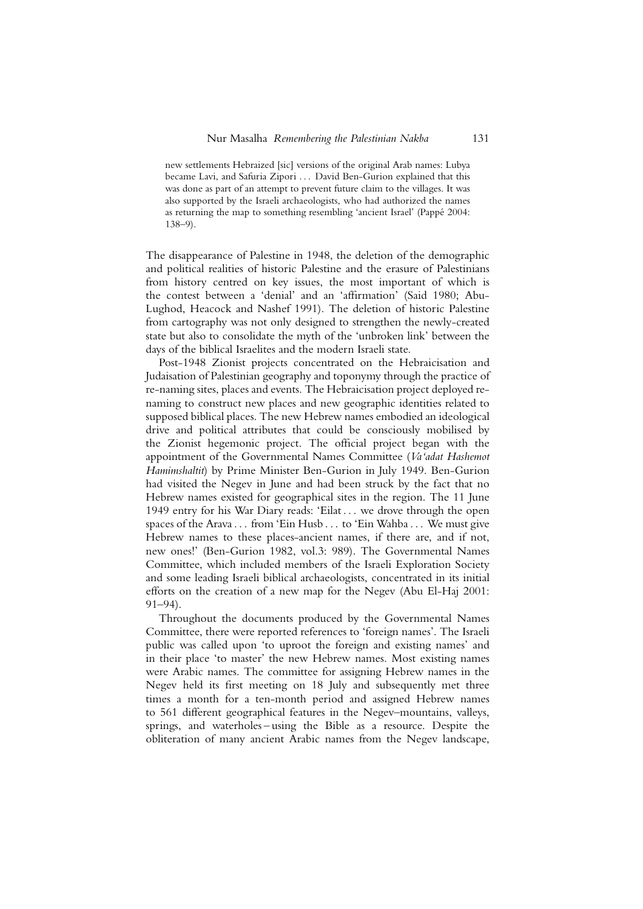new settlements Hebraized [sic] versions of the original Arab names: Lubya became Lavi, and Safuria Zipori ... David Ben-Gurion explained that this was done as part of an attempt to prevent future claim to the villages. It was also supported by the Israeli archaeologists, who had authorized the names as returning the map to something resembling 'ancient Israel' (Pappé 2004: 138–9).

The disappearance of Palestine in 1948, the deletion of the demographic and political realities of historic Palestine and the erasure of Palestinians from history centred on key issues, the most important of which is the contest between a 'denial' and an 'affirmation' (Said 1980; Abu-Lughod, Heacock and Nashef 1991). The deletion of historic Palestine from cartography was not only designed to strengthen the newly-created state but also to consolidate the myth of the 'unbroken link' between the days of the biblical Israelites and the modern Israeli state.

Post-1948 Zionist projects concentrated on the Hebraicisation and Judaisation of Palestinian geography and toponymy through the practice of re-naming sites, places and events. The Hebraicisation project deployed renaming to construct new places and new geographic identities related to supposed biblical places. The new Hebrew names embodied an ideological drive and political attributes that could be consciously mobilised by the Zionist hegemonic project. The official project began with the appointment of the Governmental Names Committee (*Va'adat Hashemot Hamimshaltit*) by Prime Minister Ben-Gurion in July 1949. Ben-Gurion had visited the Negev in June and had been struck by the fact that no Hebrew names existed for geographical sites in the region. The 11 June 1949 entry for his War Diary reads: 'Eilat . . . we drove through the open spaces of the Arava . . . from 'Ein Husb . . . to 'Ein Wahba . . . We must give Hebrew names to these places-ancient names, if there are, and if not, new ones!' (Ben-Gurion 1982, vol.3: 989). The Governmental Names Committee, which included members of the Israeli Exploration Society and some leading Israeli biblical archaeologists, concentrated in its initial efforts on the creation of a new map for the Negev (Abu El-Haj 2001: 91–94).

Throughout the documents produced by the Governmental Names Committee, there were reported references to 'foreign names'. The Israeli public was called upon 'to uproot the foreign and existing names' and in their place 'to master' the new Hebrew names. Most existing names were Arabic names. The committee for assigning Hebrew names in the Negev held its first meeting on 18 July and subsequently met three times a month for a ten-month period and assigned Hebrew names to 561 different geographical features in the Negev–mountains, valleys, springs, and waterholes – using the Bible as a resource. Despite the obliteration of many ancient Arabic names from the Negev landscape,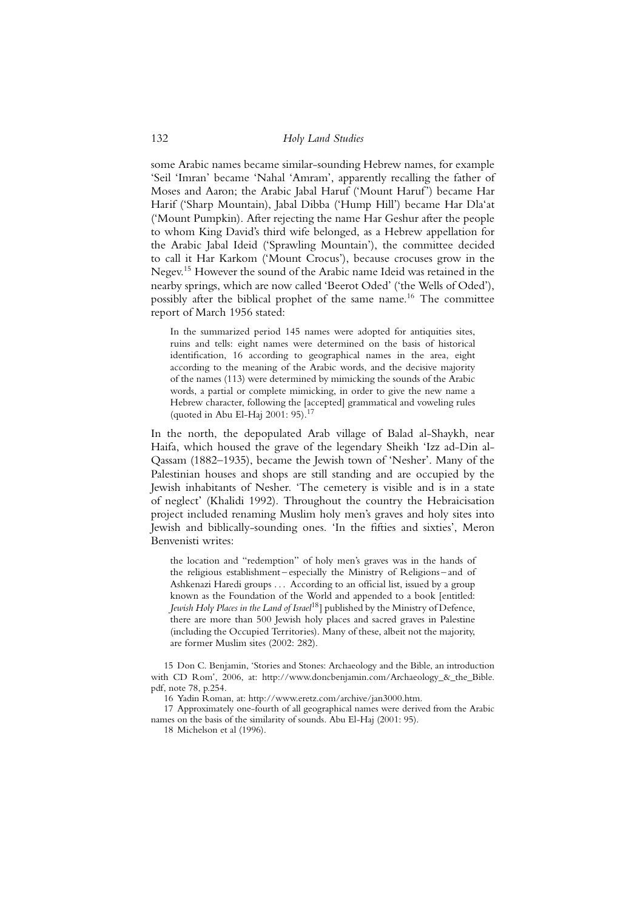some Arabic names became similar-sounding Hebrew names, for example 'Seil 'Imran' became 'Nahal 'Amram', apparently recalling the father of Moses and Aaron; the Arabic Jabal Haruf ('Mount Haruf') became Har Harif ('Sharp Mountain), Jabal Dibba ('Hump Hill') became Har Dla'at ('Mount Pumpkin). After rejecting the name Har Geshur after the people to whom King David's third wife belonged, as a Hebrew appellation for the Arabic Jabal Ideid ('Sprawling Mountain'), the committee decided to call it Har Karkom ('Mount Crocus'), because crocuses grow in the Negev.15 However the sound of the Arabic name Ideid was retained in the nearby springs, which are now called 'Beerot Oded' ('the Wells of Oded'), possibly after the biblical prophet of the same name.16 The committee report of March 1956 stated:

In the summarized period 145 names were adopted for antiquities sites, ruins and tells: eight names were determined on the basis of historical identification, 16 according to geographical names in the area, eight according to the meaning of the Arabic words, and the decisive majority of the names (113) were determined by mimicking the sounds of the Arabic words, a partial or complete mimicking, in order to give the new name a Hebrew character, following the [accepted] grammatical and voweling rules (quoted in Abu El-Haj 2001: 95).17

In the north, the depopulated Arab village of Balad al-Shaykh, near Haifa, which housed the grave of the legendary Sheikh 'Izz ad-Din al-Qassam (1882–1935), became the Jewish town of 'Nesher'. Many of the Palestinian houses and shops are still standing and are occupied by the Jewish inhabitants of Nesher. 'The cemetery is visible and is in a state of neglect' (Khalidi 1992). Throughout the country the Hebraicisation project included renaming Muslim holy men's graves and holy sites into Jewish and biblically-sounding ones. 'In the fifties and sixties', Meron Benvenisti writes:

the location and "redemption" of holy men's graves was in the hands of the religious establishment – especially the Ministry of Religions – and of Ashkenazi Haredi groups . . . According to an official list, issued by a group known as the Foundation of the World and appended to a book [entitled: *Jewish Holy Places in the Land of Israel*18] published by the Ministry of Defence, there are more than 500 Jewish holy places and sacred graves in Palestine (including the Occupied Territories). Many of these, albeit not the majority, are former Muslim sites (2002: 282).

15 Don C. Benjamin, 'Stories and Stones: Archaeology and the Bible, an introduction with CD Rom', 2006, at: http://www.doncbenjamin.com/Archaeology\_&\_the\_Bible. pdf, note 78, p.254.

16 Yadin Roman, at: http://www.eretz.com/archive/jan3000.htm.

17 Approximately one-fourth of all geographical names were derived from the Arabic names on the basis of the similarity of sounds. Abu El-Haj (2001: 95).

18 Michelson et al (1996).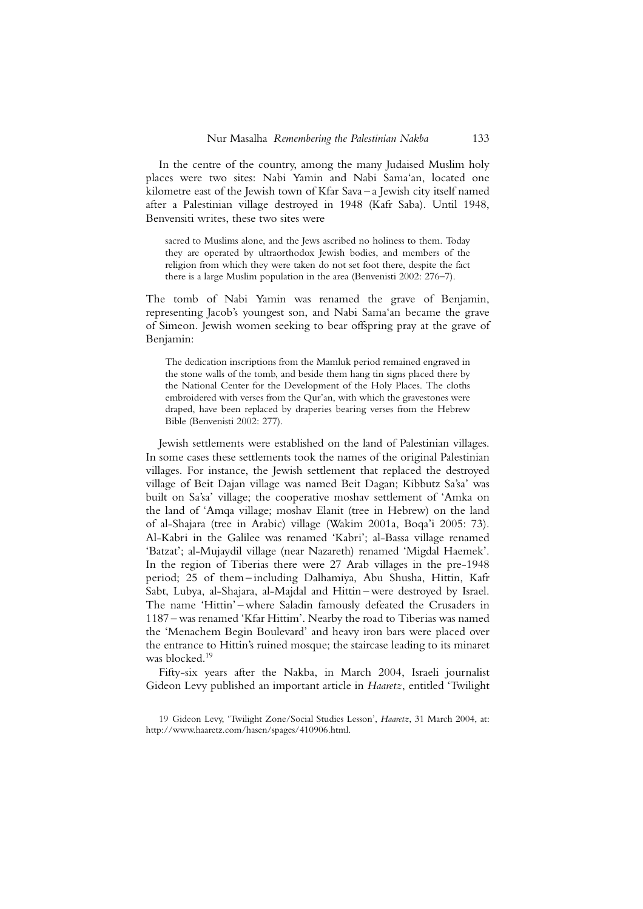In the centre of the country, among the many Judaised Muslim holy places were two sites: Nabi Yamin and Nabi Sama'an, located one kilometre east of the Jewish town of Kfar Sava – a Jewish city itself named after a Palestinian village destroyed in 1948 (Kafr Saba). Until 1948, Benvensiti writes, these two sites were

sacred to Muslims alone, and the Jews ascribed no holiness to them. Today they are operated by ultraorthodox Jewish bodies, and members of the religion from which they were taken do not set foot there, despite the fact there is a large Muslim population in the area (Benvenisti 2002: 276–7).

The tomb of Nabi Yamin was renamed the grave of Benjamin, representing Jacob's youngest son, and Nabi Sama'an became the grave of Simeon. Jewish women seeking to bear offspring pray at the grave of Benjamin:

The dedication inscriptions from the Mamluk period remained engraved in the stone walls of the tomb, and beside them hang tin signs placed there by the National Center for the Development of the Holy Places. The cloths embroidered with verses from the Qur'an, with which the gravestones were draped, have been replaced by draperies bearing verses from the Hebrew Bible (Benvenisti 2002: 277).

Jewish settlements were established on the land of Palestinian villages. In some cases these settlements took the names of the original Palestinian villages. For instance, the Jewish settlement that replaced the destroyed village of Beit Dajan village was named Beit Dagan; Kibbutz Sa'sa' was built on Sa'sa' village; the cooperative moshav settlement of 'Amka on the land of 'Amqa village; moshav Elanit (tree in Hebrew) on the land of al-Shajara (tree in Arabic) village (Wakim 2001a, Boqa'i 2005: 73). Al-Kabri in the Galilee was renamed 'Kabri'; al-Bassa village renamed 'Batzat'; al-Mujaydil village (near Nazareth) renamed 'Migdal Haemek'. In the region of Tiberias there were 27 Arab villages in the pre-1948 period; 25 of them – including Dalhamiya, Abu Shusha, Hittin, Kafr Sabt, Lubya, al-Shajara, al-Majdal and Hittin – were destroyed by Israel. The name 'Hittin' – where Saladin famously defeated the Crusaders in 1187 – was renamed 'Kfar Hittim'. Nearby the road to Tiberias was named the 'Menachem Begin Boulevard' and heavy iron bars were placed over the entrance to Hittin's ruined mosque; the staircase leading to its minaret was blocked.19

Fifty-six years after the Nakba, in March 2004, Israeli journalist Gideon Levy published an important article in *Haaretz*, entitled 'Twilight

19 Gideon Levy, 'Twilight Zone/Social Studies Lesson', *Haaretz*, 31 March 2004, at: http://www.haaretz.com/hasen/spages/410906.html.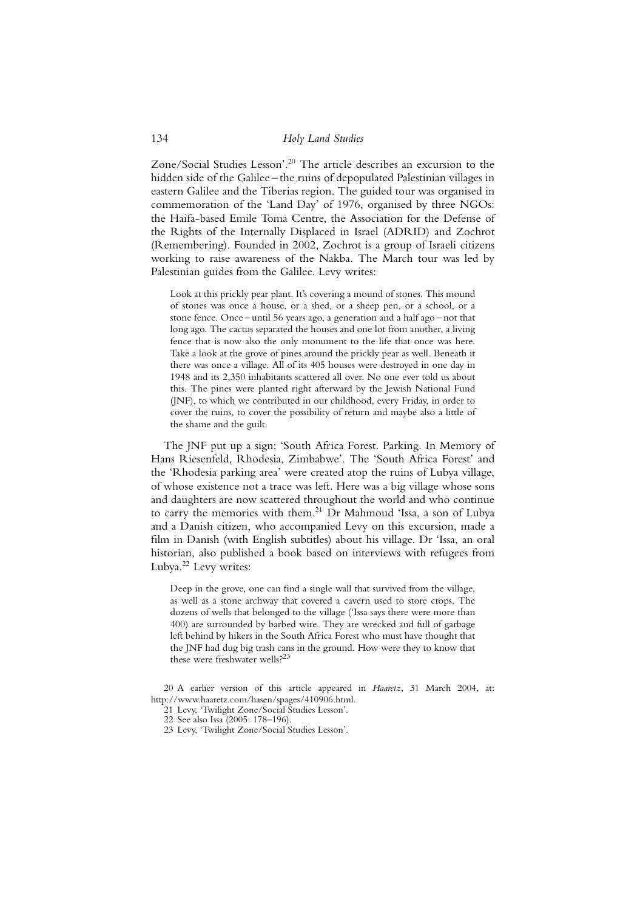Zone/Social Studies Lesson'.20 The article describes an excursion to the hidden side of the Galilee – the ruins of depopulated Palestinian villages in eastern Galilee and the Tiberias region. The guided tour was organised in commemoration of the 'Land Day' of 1976, organised by three NGOs: the Haifa-based Emile Toma Centre, the Association for the Defense of the Rights of the Internally Displaced in Israel (ADRID) and Zochrot (Remembering). Founded in 2002, Zochrot is a group of Israeli citizens working to raise awareness of the Nakba. The March tour was led by Palestinian guides from the Galilee. Levy writes:

Look at this prickly pear plant. It's covering a mound of stones. This mound of stones was once a house, or a shed, or a sheep pen, or a school, or a stone fence. Once – until 56 years ago, a generation and a half ago – not that long ago. The cactus separated the houses and one lot from another, a living fence that is now also the only monument to the life that once was here. Take a look at the grove of pines around the prickly pear as well. Beneath it there was once a village. All of its 405 houses were destroyed in one day in 1948 and its 2,350 inhabitants scattered all over. No one ever told us about this. The pines were planted right afterward by the Jewish National Fund (JNF), to which we contributed in our childhood, every Friday, in order to cover the ruins, to cover the possibility of return and maybe also a little of the shame and the guilt.

The JNF put up a sign: 'South Africa Forest. Parking. In Memory of Hans Riesenfeld, Rhodesia, Zimbabwe'. The 'South Africa Forest' and the 'Rhodesia parking area' were created atop the ruins of Lubya village, of whose existence not a trace was left. Here was a big village whose sons and daughters are now scattered throughout the world and who continue to carry the memories with them.21 Dr Mahmoud 'Issa, a son of Lubya and a Danish citizen, who accompanied Levy on this excursion, made a film in Danish (with English subtitles) about his village. Dr 'Issa, an oral historian, also published a book based on interviews with refugees from Lubya.<sup>22</sup> Levy writes:

Deep in the grove, one can find a single wall that survived from the village, as well as a stone archway that covered a cavern used to store crops. The dozens of wells that belonged to the village ('Issa says there were more than 400) are surrounded by barbed wire. They are wrecked and full of garbage left behind by hikers in the South Africa Forest who must have thought that the JNF had dug big trash cans in the ground. How were they to know that these were freshwater wells?23

20 A earlier version of this article appeared in *Haaretz*, 31 March 2004, at: http://www.haaretz.com/hasen/spages/410906.html.

21 Levy, 'Twilight Zone/Social Studies Lesson'.

<sup>22</sup> See also Issa (2005: 178–196).

<sup>23</sup> Levy, 'Twilight Zone/Social Studies Lesson'.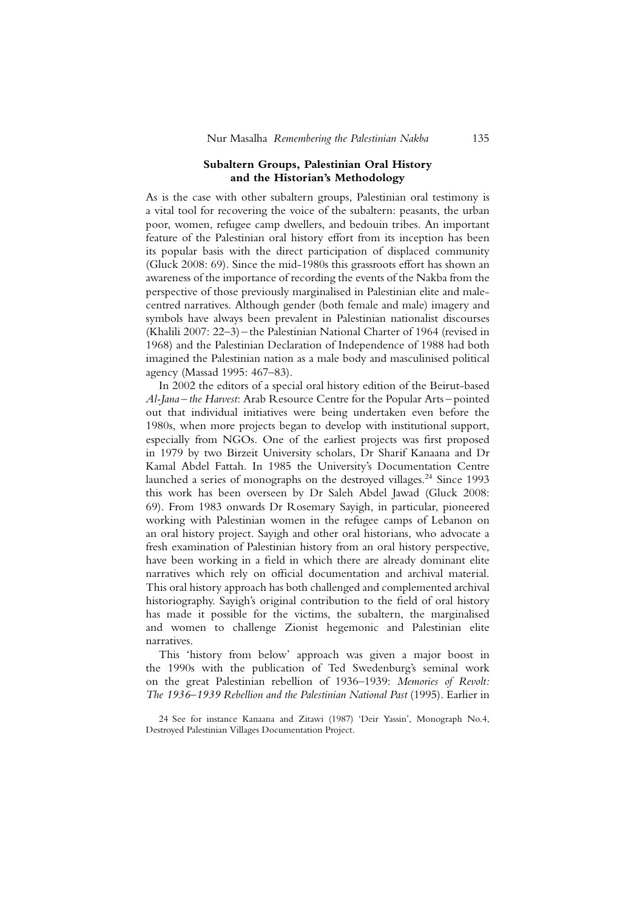## **Subaltern Groups, Palestinian Oral History and the Historian's Methodology**

As is the case with other subaltern groups, Palestinian oral testimony is a vital tool for recovering the voice of the subaltern: peasants, the urban poor, women, refugee camp dwellers, and bedouin tribes. An important feature of the Palestinian oral history effort from its inception has been its popular basis with the direct participation of displaced community (Gluck 2008: 69). Since the mid-1980s this grassroots effort has shown an awareness of the importance of recording the events of the Nakba from the perspective of those previously marginalised in Palestinian elite and malecentred narratives. Although gender (both female and male) imagery and symbols have always been prevalent in Palestinian nationalist discourses (Khalili 2007: 22–3) – the Palestinian National Charter of 1964 (revised in 1968) and the Palestinian Declaration of Independence of 1988 had both imagined the Palestinian nation as a male body and masculinised political agency (Massad 1995: 467–83).

In 2002 the editors of a special oral history edition of the Beirut-based *Al-Jana – the Harvest*: Arab Resource Centre for the Popular Arts – pointed out that individual initiatives were being undertaken even before the 1980s, when more projects began to develop with institutional support, especially from NGOs. One of the earliest projects was first proposed in 1979 by two Birzeit University scholars, Dr Sharif Kanaana and Dr Kamal Abdel Fattah. In 1985 the University's Documentation Centre launched a series of monographs on the destroyed villages.<sup>24</sup> Since 1993 this work has been overseen by Dr Saleh Abdel Jawad (Gluck 2008: 69). From 1983 onwards Dr Rosemary Sayigh, in particular, pioneered working with Palestinian women in the refugee camps of Lebanon on an oral history project. Sayigh and other oral historians, who advocate a fresh examination of Palestinian history from an oral history perspective, have been working in a field in which there are already dominant elite narratives which rely on official documentation and archival material. This oral history approach has both challenged and complemented archival historiography. Sayigh's original contribution to the field of oral history has made it possible for the victims, the subaltern, the marginalised and women to challenge Zionist hegemonic and Palestinian elite narratives.

This 'history from below' approach was given a major boost in the 1990s with the publication of Ted Swedenburg's seminal work on the great Palestinian rebellion of 1936–1939: *Memories of Revolt: The 1936–1939 Rebellion and the Palestinian National Past* (1995). Earlier in

24 See for instance Kanaana and Zitawi (1987) 'Deir Yassin', Monograph No.4, Destroyed Palestinian Villages Documentation Project.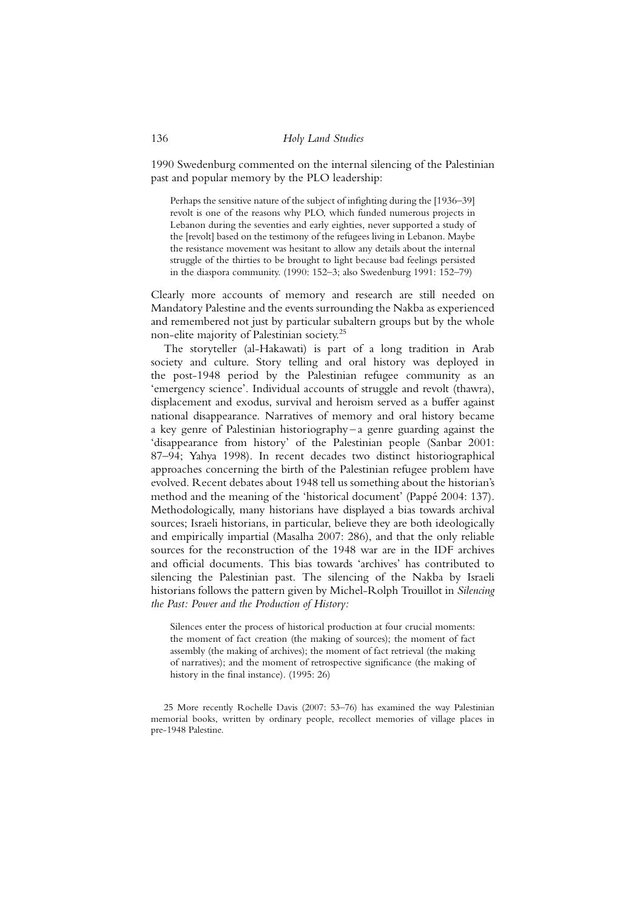1990 Swedenburg commented on the internal silencing of the Palestinian past and popular memory by the PLO leadership:

Perhaps the sensitive nature of the subject of infighting during the [1936–39] revolt is one of the reasons why PLO, which funded numerous projects in Lebanon during the seventies and early eighties, never supported a study of the [revolt] based on the testimony of the refugees living in Lebanon. Maybe the resistance movement was hesitant to allow any details about the internal struggle of the thirties to be brought to light because bad feelings persisted in the diaspora community. (1990: 152–3; also Swedenburg 1991: 152–79)

Clearly more accounts of memory and research are still needed on Mandatory Palestine and the events surrounding the Nakba as experienced and remembered not just by particular subaltern groups but by the whole non-elite majority of Palestinian society.25

The storyteller (al-Hakawati) is part of a long tradition in Arab society and culture. Story telling and oral history was deployed in the post-1948 period by the Palestinian refugee community as an 'emergency science'. Individual accounts of struggle and revolt (thawra), displacement and exodus, survival and heroism served as a buffer against national disappearance. Narratives of memory and oral history became a key genre of Palestinian historiography – a genre guarding against the 'disappearance from history' of the Palestinian people (Sanbar 2001: 87–94; Yahya 1998). In recent decades two distinct historiographical approaches concerning the birth of the Palestinian refugee problem have evolved. Recent debates about 1948 tell us something about the historian's method and the meaning of the 'historical document' (Pappé 2004: 137). Methodologically, many historians have displayed a bias towards archival sources; Israeli historians, in particular, believe they are both ideologically and empirically impartial (Masalha 2007: 286), and that the only reliable sources for the reconstruction of the 1948 war are in the IDF archives and official documents. This bias towards 'archives' has contributed to silencing the Palestinian past. The silencing of the Nakba by Israeli historians follows the pattern given by Michel-Rolph Trouillot in *Silencing the Past: Power and the Production of History:*

Silences enter the process of historical production at four crucial moments: the moment of fact creation (the making of sources); the moment of fact assembly (the making of archives); the moment of fact retrieval (the making of narratives); and the moment of retrospective significance (the making of history in the final instance). (1995: 26)

25 More recently Rochelle Davis (2007: 53–76) has examined the way Palestinian memorial books, written by ordinary people, recollect memories of village places in pre-1948 Palestine.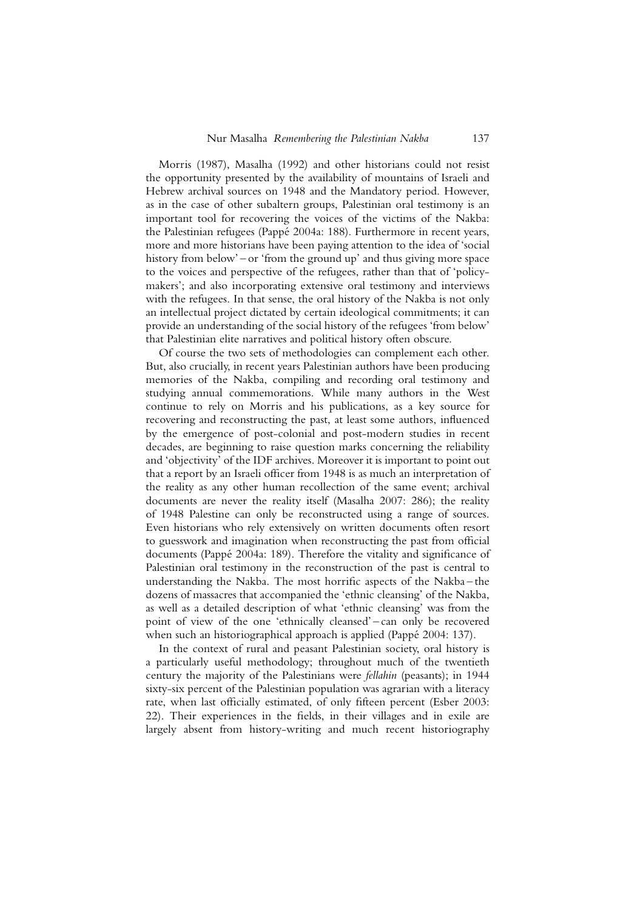Morris (1987), Masalha (1992) and other historians could not resist the opportunity presented by the availability of mountains of Israeli and Hebrew archival sources on 1948 and the Mandatory period. However, as in the case of other subaltern groups, Palestinian oral testimony is an important tool for recovering the voices of the victims of the Nakba: the Palestinian refugees (Pappé 2004a: 188). Furthermore in recent years, more and more historians have been paying attention to the idea of 'social history from below' – or 'from the ground up' and thus giving more space to the voices and perspective of the refugees, rather than that of 'policymakers'; and also incorporating extensive oral testimony and interviews with the refugees. In that sense, the oral history of the Nakba is not only an intellectual project dictated by certain ideological commitments; it can provide an understanding of the social history of the refugees 'from below' that Palestinian elite narratives and political history often obscure.

Of course the two sets of methodologies can complement each other. But, also crucially, in recent years Palestinian authors have been producing memories of the Nakba, compiling and recording oral testimony and studying annual commemorations. While many authors in the West continue to rely on Morris and his publications, as a key source for recovering and reconstructing the past, at least some authors, influenced by the emergence of post-colonial and post-modern studies in recent decades, are beginning to raise question marks concerning the reliability and 'objectivity' of the IDF archives. Moreover it is important to point out that a report by an Israeli officer from 1948 is as much an interpretation of the reality as any other human recollection of the same event; archival documents are never the reality itself (Masalha 2007: 286); the reality of 1948 Palestine can only be reconstructed using a range of sources. Even historians who rely extensively on written documents often resort to guesswork and imagination when reconstructing the past from official documents (Pappé 2004a: 189). Therefore the vitality and significance of Palestinian oral testimony in the reconstruction of the past is central to understanding the Nakba. The most horrific aspects of the Nakba – the dozens of massacres that accompanied the 'ethnic cleansing' of the Nakba, as well as a detailed description of what 'ethnic cleansing' was from the point of view of the one 'ethnically cleansed' – can only be recovered when such an historiographical approach is applied (Pappé 2004: 137).

In the context of rural and peasant Palestinian society, oral history is a particularly useful methodology; throughout much of the twentieth century the majority of the Palestinians were *fellahin* (peasants); in 1944 sixty-six percent of the Palestinian population was agrarian with a literacy rate, when last officially estimated, of only fifteen percent (Esber 2003: 22). Their experiences in the fields, in their villages and in exile are largely absent from history-writing and much recent historiography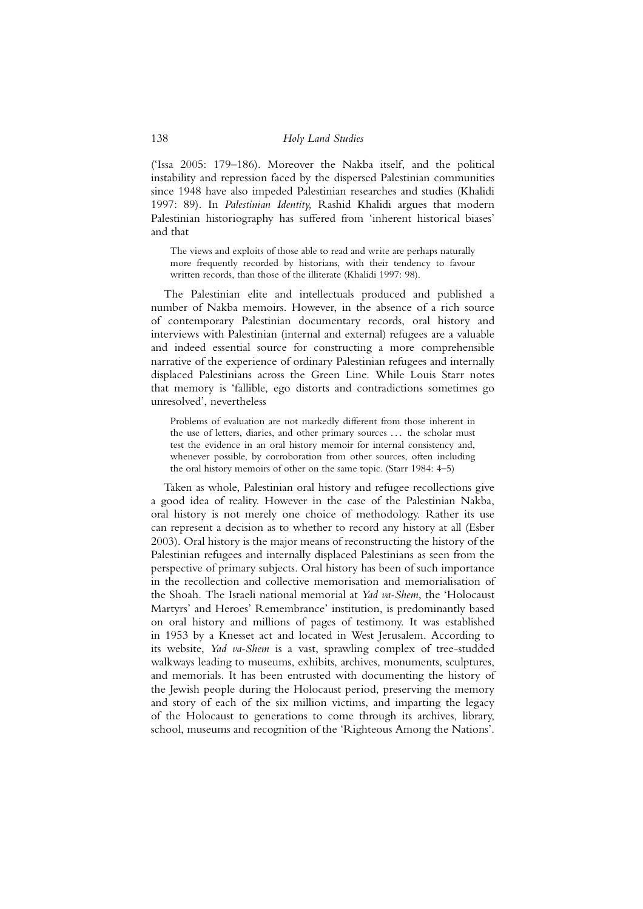('Issa 2005: 179–186). Moreover the Nakba itself, and the political instability and repression faced by the dispersed Palestinian communities since 1948 have also impeded Palestinian researches and studies (Khalidi 1997: 89). In *Palestinian Identity,* Rashid Khalidi argues that modern Palestinian historiography has suffered from 'inherent historical biases' and that

The views and exploits of those able to read and write are perhaps naturally more frequently recorded by historians, with their tendency to favour written records, than those of the illiterate (Khalidi 1997: 98).

The Palestinian elite and intellectuals produced and published a number of Nakba memoirs. However, in the absence of a rich source of contemporary Palestinian documentary records, oral history and interviews with Palestinian (internal and external) refugees are a valuable and indeed essential source for constructing a more comprehensible narrative of the experience of ordinary Palestinian refugees and internally displaced Palestinians across the Green Line. While Louis Starr notes that memory is 'fallible, ego distorts and contradictions sometimes go unresolved', nevertheless

Problems of evaluation are not markedly different from those inherent in the use of letters, diaries, and other primary sources . . . the scholar must test the evidence in an oral history memoir for internal consistency and, whenever possible, by corroboration from other sources, often including the oral history memoirs of other on the same topic. (Starr 1984: 4–5)

Taken as whole, Palestinian oral history and refugee recollections give a good idea of reality. However in the case of the Palestinian Nakba, oral history is not merely one choice of methodology. Rather its use can represent a decision as to whether to record any history at all (Esber 2003). Oral history is the major means of reconstructing the history of the Palestinian refugees and internally displaced Palestinians as seen from the perspective of primary subjects. Oral history has been of such importance in the recollection and collective memorisation and memorialisation of the Shoah. The Israeli national memorial at *Yad va-Shem*, the 'Holocaust Martyrs' and Heroes' Remembrance' institution, is predominantly based on oral history and millions of pages of testimony. It was established in 1953 by a Knesset act and located in West Jerusalem. According to its website, *Yad va-Shem* is a vast, sprawling complex of tree-studded walkways leading to museums, exhibits, archives, monuments, sculptures, and memorials. It has been entrusted with documenting the history of the Jewish people during the Holocaust period, preserving the memory and story of each of the six million victims, and imparting the legacy of the Holocaust to generations to come through its archives, library, school, museums and recognition of the 'Righteous Among the Nations'.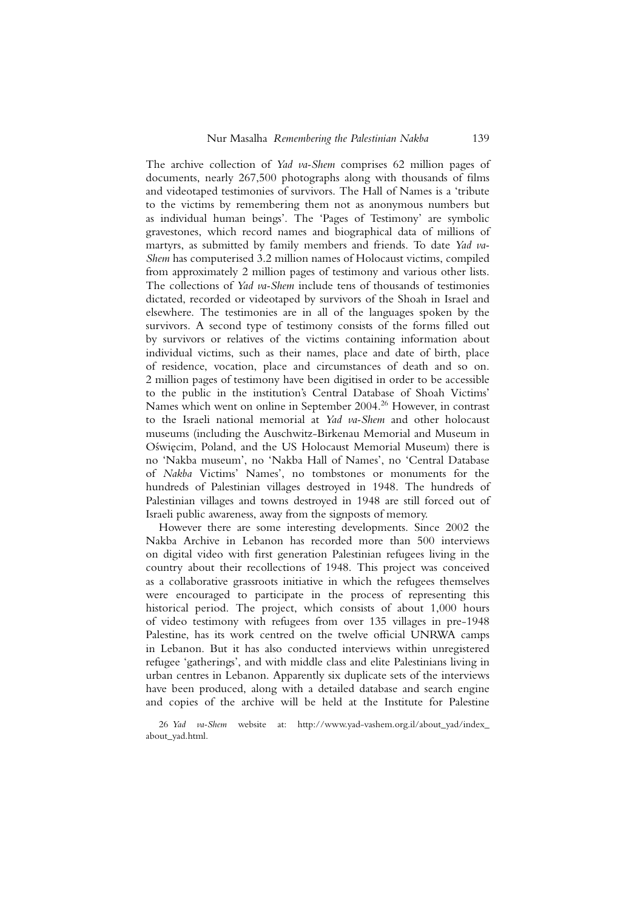The archive collection of *Yad va-Shem* comprises 62 million pages of documents, nearly 267,500 photographs along with thousands of films and videotaped testimonies of survivors. The Hall of Names is a 'tribute to the victims by remembering them not as anonymous numbers but as individual human beings'. The 'Pages of Testimony' are symbolic gravestones, which record names and biographical data of millions of martyrs, as submitted by family members and friends. To date *Yad va-Shem* has computerised 3.2 million names of Holocaust victims, compiled from approximately 2 million pages of testimony and various other lists. The collections of *Yad va-Shem* include tens of thousands of testimonies dictated, recorded or videotaped by survivors of the Shoah in Israel and elsewhere. The testimonies are in all of the languages spoken by the survivors. A second type of testimony consists of the forms filled out by survivors or relatives of the victims containing information about individual victims, such as their names, place and date of birth, place of residence, vocation, place and circumstances of death and so on. 2 million pages of testimony have been digitised in order to be accessible to the public in the institution's Central Database of Shoah Victims' Names which went on online in September 2004.<sup>26</sup> However, in contrast to the Israeli national memorial at *Yad va-Shem* and other holocaust museums (including the Auschwitz-Birkenau Memorial and Museum in Oświęcim, Poland, and the US Holocaust Memorial Museum) there is no 'Nakba museum', no 'Nakba Hall of Names', no 'Central Database of *Nakba* Victims' Names', no tombstones or monuments for the hundreds of Palestinian villages destroyed in 1948. The hundreds of Palestinian villages and towns destroyed in 1948 are still forced out of Israeli public awareness, away from the signposts of memory.

However there are some interesting developments. Since 2002 the Nakba Archive in Lebanon has recorded more than 500 interviews on digital video with first generation Palestinian refugees living in the country about their recollections of 1948. This project was conceived as a collaborative grassroots initiative in which the refugees themselves were encouraged to participate in the process of representing this historical period. The project, which consists of about 1,000 hours of video testimony with refugees from over 135 villages in pre-1948 Palestine, has its work centred on the twelve official UNRWA camps in Lebanon. But it has also conducted interviews within unregistered refugee 'gatherings', and with middle class and elite Palestinians living in urban centres in Lebanon. Apparently six duplicate sets of the interviews have been produced, along with a detailed database and search engine and copies of the archive will be held at the Institute for Palestine

26 *Yad va-Shem* website at: http://www.yad-vashem.org.il/about\_yad/index\_ about\_yad.html.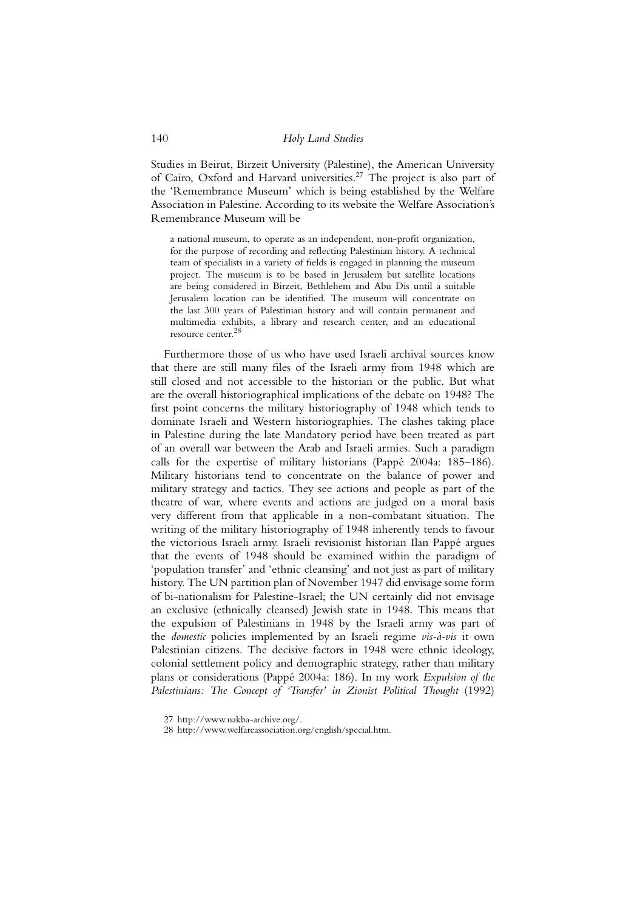Studies in Beirut, Birzeit University (Palestine), the American University of Cairo, Oxford and Harvard universities.<sup>27</sup> The project is also part of the 'Remembrance Museum' which is being established by the Welfare Association in Palestine. According to its website the Welfare Association's Remembrance Museum will be

a national museum, to operate as an independent, non-profit organization, for the purpose of recording and reflecting Palestinian history. A technical team of specialists in a variety of fields is engaged in planning the museum project. The museum is to be based in Jerusalem but satellite locations are being considered in Birzeit, Bethlehem and Abu Dis until a suitable Jerusalem location can be identified. The museum will concentrate on the last 300 years of Palestinian history and will contain permanent and multimedia exhibits, a library and research center, and an educational resource center.28

Furthermore those of us who have used Israeli archival sources know that there are still many files of the Israeli army from 1948 which are still closed and not accessible to the historian or the public. But what are the overall historiographical implications of the debate on 1948? The first point concerns the military historiography of 1948 which tends to dominate Israeli and Western historiographies. The clashes taking place in Palestine during the late Mandatory period have been treated as part of an overall war between the Arab and Israeli armies. Such a paradigm calls for the expertise of military historians (Pappé 2004a: 185–186). Military historians tend to concentrate on the balance of power and military strategy and tactics. They see actions and people as part of the theatre of war, where events and actions are judged on a moral basis very different from that applicable in a non-combatant situation. The writing of the military historiography of 1948 inherently tends to favour the victorious Israeli army. Israeli revisionist historian Ilan Pappé argues that the events of 1948 should be examined within the paradigm of 'population transfer' and 'ethnic cleansing' and not just as part of military history. The UN partition plan of November 1947 did envisage some form of bi-nationalism for Palestine-Israel; the UN certainly did not envisage an exclusive (ethnically cleansed) Jewish state in 1948. This means that the expulsion of Palestinians in 1948 by the Israeli army was part of the *domestic* policies implemented by an Israeli regime *vis-à-vis* it own Palestinian citizens. The decisive factors in 1948 were ethnic ideology, colonial settlement policy and demographic strategy, rather than military plans or considerations (Pappé 2004a: 186). In my work *Expulsion of the Palestinians: The Concept of 'Transfer' in Zionist Political Thought* (1992)

<sup>27</sup> http://www.nakba-archive.org/.

<sup>28</sup> http://www.welfareassociation.org/english/special.htm.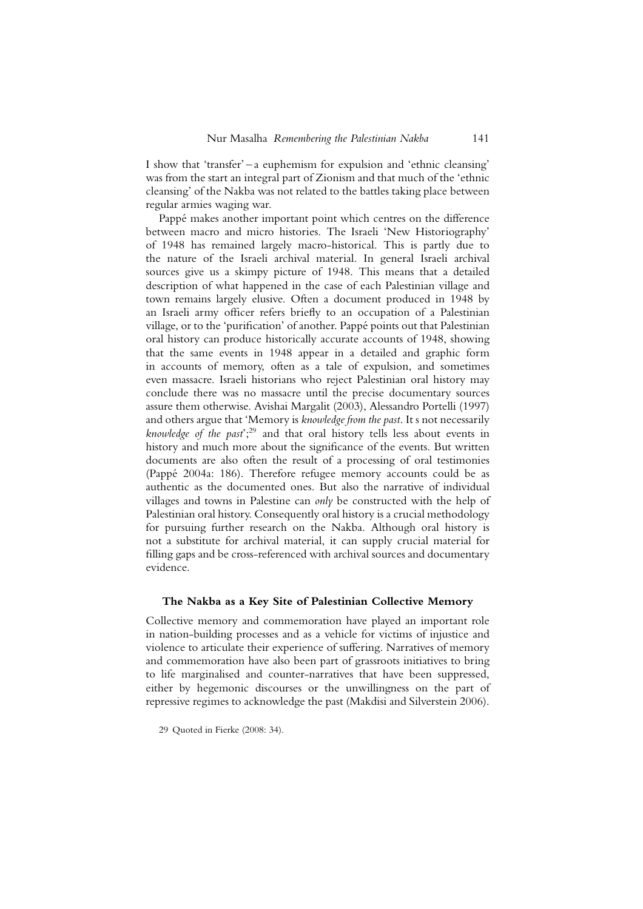I show that 'transfer' – a euphemism for expulsion and 'ethnic cleansing' was from the start an integral part of Zionism and that much of the 'ethnic cleansing' of the Nakba was not related to the battles taking place between regular armies waging war.

Pappé makes another important point which centres on the difference between macro and micro histories. The Israeli 'New Historiography' of 1948 has remained largely macro-historical. This is partly due to the nature of the Israeli archival material. In general Israeli archival sources give us a skimpy picture of 1948. This means that a detailed description of what happened in the case of each Palestinian village and town remains largely elusive. Often a document produced in 1948 by an Israeli army officer refers briefly to an occupation of a Palestinian village, or to the 'purification' of another. Pappé points out that Palestinian oral history can produce historically accurate accounts of 1948, showing that the same events in 1948 appear in a detailed and graphic form in accounts of memory, often as a tale of expulsion, and sometimes even massacre. Israeli historians who reject Palestinian oral history may conclude there was no massacre until the precise documentary sources assure them otherwise. Avishai Margalit (2003), Alessandro Portelli (1997) and others argue that 'Memory is *knowledge from the past*. It s not necessarily *knowledge of the past*';29 and that oral history tells less about events in history and much more about the significance of the events. But written documents are also often the result of a processing of oral testimonies (Pappé 2004a: 186). Therefore refugee memory accounts could be as authentic as the documented ones. But also the narrative of individual villages and towns in Palestine can *only* be constructed with the help of Palestinian oral history. Consequently oral history is a crucial methodology for pursuing further research on the Nakba. Although oral history is not a substitute for archival material, it can supply crucial material for filling gaps and be cross-referenced with archival sources and documentary evidence.

#### **The Nakba as a Key Site of Palestinian Collective Memory**

Collective memory and commemoration have played an important role in nation-building processes and as a vehicle for victims of injustice and violence to articulate their experience of suffering. Narratives of memory and commemoration have also been part of grassroots initiatives to bring to life marginalised and counter-narratives that have been suppressed, either by hegemonic discourses or the unwillingness on the part of repressive regimes to acknowledge the past (Makdisi and Silverstein 2006).

<sup>29</sup> Quoted in Fierke (2008: 34).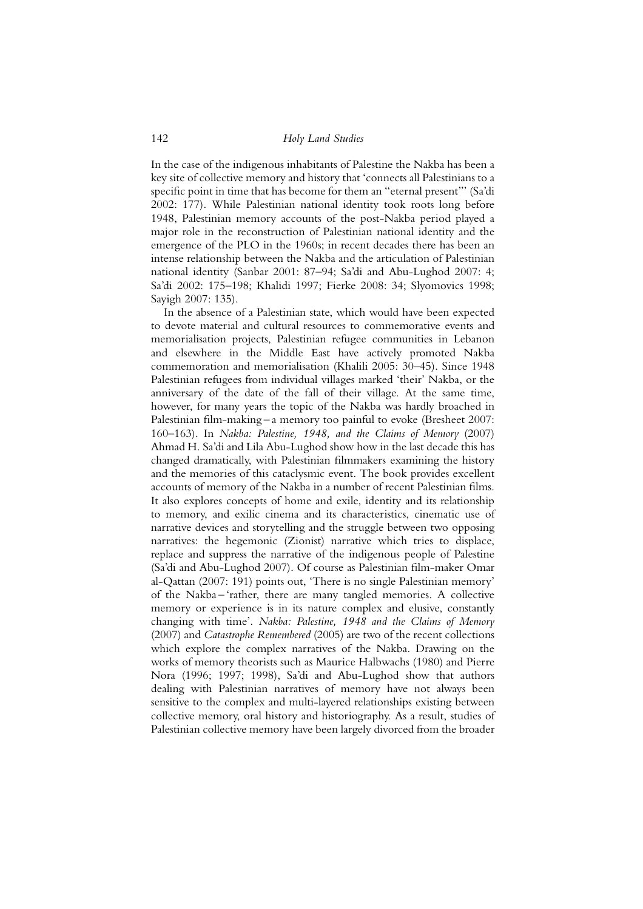In the case of the indigenous inhabitants of Palestine the Nakba has been a key site of collective memory and history that 'connects all Palestinians to a specific point in time that has become for them an "eternal present"' (Sa'di 2002: 177). While Palestinian national identity took roots long before 1948, Palestinian memory accounts of the post-Nakba period played a major role in the reconstruction of Palestinian national identity and the emergence of the PLO in the 1960s; in recent decades there has been an intense relationship between the Nakba and the articulation of Palestinian national identity (Sanbar 2001: 87–94; Sa'di and Abu-Lughod 2007: 4; Sa'di 2002: 175–198; Khalidi 1997; Fierke 2008: 34; Slyomovics 1998; Sayigh 2007: 135).

In the absence of a Palestinian state, which would have been expected to devote material and cultural resources to commemorative events and memorialisation projects, Palestinian refugee communities in Lebanon and elsewhere in the Middle East have actively promoted Nakba commemoration and memorialisation (Khalili 2005: 30–45). Since 1948 Palestinian refugees from individual villages marked 'their' Nakba, or the anniversary of the date of the fall of their village. At the same time, however, for many years the topic of the Nakba was hardly broached in Palestinian film-making – a memory too painful to evoke (Bresheet 2007: 160–163). In *Nakba: Palestine, 1948, and the Claims of Memory* (2007) Ahmad H. Sa'di and Lila Abu-Lughod show how in the last decade this has changed dramatically, with Palestinian filmmakers examining the history and the memories of this cataclysmic event. The book provides excellent accounts of memory of the Nakba in a number of recent Palestinian films. It also explores concepts of home and exile, identity and its relationship to memory, and exilic cinema and its characteristics, cinematic use of narrative devices and storytelling and the struggle between two opposing narratives: the hegemonic (Zionist) narrative which tries to displace, replace and suppress the narrative of the indigenous people of Palestine (Sa'di and Abu-Lughod 2007). Of course as Palestinian film-maker Omar al-Qattan (2007: 191) points out, 'There is no single Palestinian memory' of the Nakba – 'rather, there are many tangled memories. A collective memory or experience is in its nature complex and elusive, constantly changing with time'. *Nakba: Palestine, 1948 and the Claims of Memory* (2007) and *Catastrophe Remembered* (2005) are two of the recent collections which explore the complex narratives of the Nakba. Drawing on the works of memory theorists such as Maurice Halbwachs (1980) and Pierre Nora (1996; 1997; 1998), Sa'di and Abu-Lughod show that authors dealing with Palestinian narratives of memory have not always been sensitive to the complex and multi-layered relationships existing between collective memory, oral history and historiography. As a result, studies of Palestinian collective memory have been largely divorced from the broader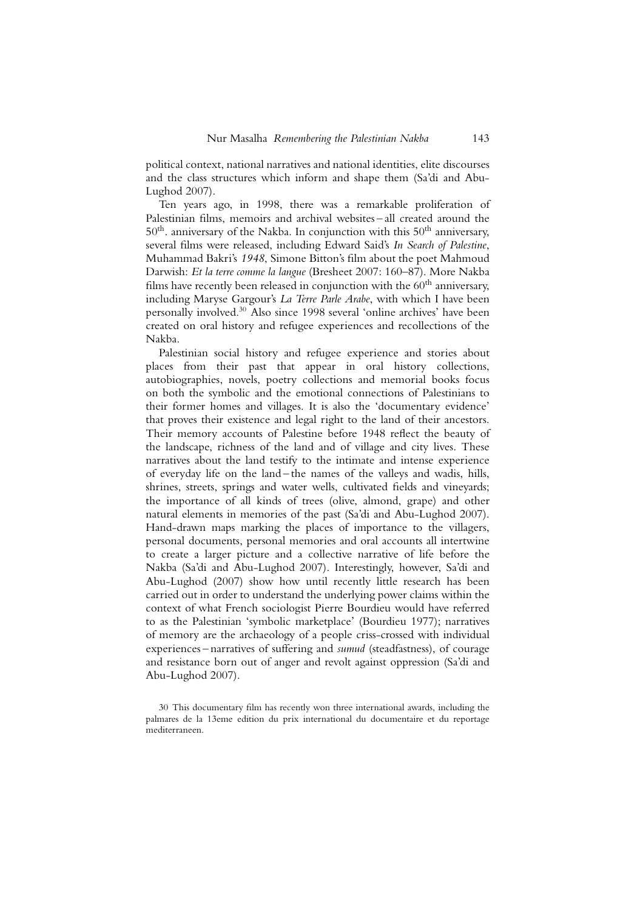political context, national narratives and national identities, elite discourses and the class structures which inform and shape them (Sa'di and Abu-Lughod 2007).

Ten years ago, in 1998, there was a remarkable proliferation of Palestinian films, memoirs and archival websites – all created around the  $50<sup>th</sup>$  anniversary of the Nakba. In conjunction with this  $50<sup>th</sup>$  anniversary, several films were released, including Edward Said's *In Search of Palestine*, Muhammad Bakri's *1948*, Simone Bitton's film about the poet Mahmoud Darwish: *Et la terre comme la langue* (Bresheet 2007: 160–87). More Nakba films have recently been released in conjunction with the  $60<sup>th</sup>$  anniversary, including Maryse Gargour's *La Terre Parle Arabe*, with which I have been personally involved.30 Also since 1998 several 'online archives' have been created on oral history and refugee experiences and recollections of the Nakba.

Palestinian social history and refugee experience and stories about places from their past that appear in oral history collections, autobiographies, novels, poetry collections and memorial books focus on both the symbolic and the emotional connections of Palestinians to their former homes and villages. It is also the 'documentary evidence' that proves their existence and legal right to the land of their ancestors. Their memory accounts of Palestine before 1948 reflect the beauty of the landscape, richness of the land and of village and city lives. These narratives about the land testify to the intimate and intense experience of everyday life on the land – the names of the valleys and wadis, hills, shrines, streets, springs and water wells, cultivated fields and vineyards; the importance of all kinds of trees (olive, almond, grape) and other natural elements in memories of the past (Sa'di and Abu-Lughod 2007). Hand-drawn maps marking the places of importance to the villagers, personal documents, personal memories and oral accounts all intertwine to create a larger picture and a collective narrative of life before the Nakba (Sa'di and Abu-Lughod 2007). Interestingly, however, Sa'di and Abu-Lughod (2007) show how until recently little research has been carried out in order to understand the underlying power claims within the context of what French sociologist Pierre Bourdieu would have referred to as the Palestinian 'symbolic marketplace' (Bourdieu 1977); narratives of memory are the archaeology of a people criss-crossed with individual experiences – narratives of suffering and *sumud* (steadfastness), of courage and resistance born out of anger and revolt against oppression (Sa'di and Abu-Lughod 2007).

<sup>30</sup> This documentary film has recently won three international awards, including the palmares de la 13eme edition du prix international du documentaire et du reportage mediterraneen.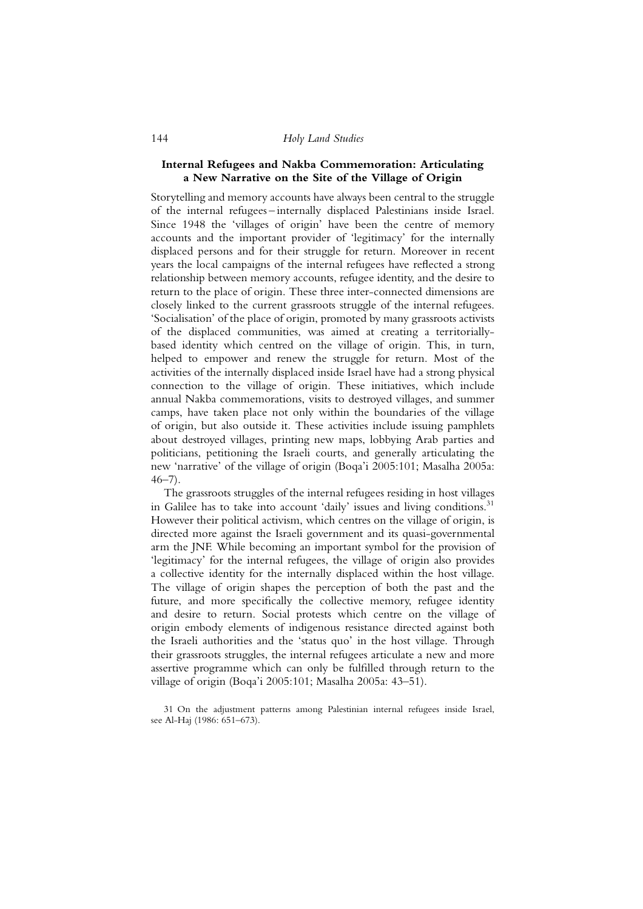## **Internal Refugees and Nakba Commemoration: Articulating a New Narrative on the Site of the Village of Origin**

Storytelling and memory accounts have always been central to the struggle of the internal refugees – internally displaced Palestinians inside Israel. Since 1948 the 'villages of origin' have been the centre of memory accounts and the important provider of 'legitimacy' for the internally displaced persons and for their struggle for return. Moreover in recent years the local campaigns of the internal refugees have reflected a strong relationship between memory accounts, refugee identity, and the desire to return to the place of origin. These three inter-connected dimensions are closely linked to the current grassroots struggle of the internal refugees. 'Socialisation' of the place of origin, promoted by many grassroots activists of the displaced communities, was aimed at creating a territoriallybased identity which centred on the village of origin. This, in turn, helped to empower and renew the struggle for return. Most of the activities of the internally displaced inside Israel have had a strong physical connection to the village of origin. These initiatives, which include annual Nakba commemorations, visits to destroyed villages, and summer camps, have taken place not only within the boundaries of the village of origin, but also outside it. These activities include issuing pamphlets about destroyed villages, printing new maps, lobbying Arab parties and politicians, petitioning the Israeli courts, and generally articulating the new 'narrative' of the village of origin (Boqa'i 2005:101; Masalha 2005a:  $46 - 7$ ).

The grassroots struggles of the internal refugees residing in host villages in Galilee has to take into account 'daily' issues and living conditions. $31$ However their political activism, which centres on the village of origin, is directed more against the Israeli government and its quasi-governmental arm the JNF. While becoming an important symbol for the provision of 'legitimacy' for the internal refugees, the village of origin also provides a collective identity for the internally displaced within the host village. The village of origin shapes the perception of both the past and the future, and more specifically the collective memory, refugee identity and desire to return. Social protests which centre on the village of origin embody elements of indigenous resistance directed against both the Israeli authorities and the 'status quo' in the host village. Through their grassroots struggles, the internal refugees articulate a new and more assertive programme which can only be fulfilled through return to the village of origin (Boqa'i 2005:101; Masalha 2005a: 43–51).

<sup>31</sup> On the adjustment patterns among Palestinian internal refugees inside Israel, see Al-Haj (1986: 651–673).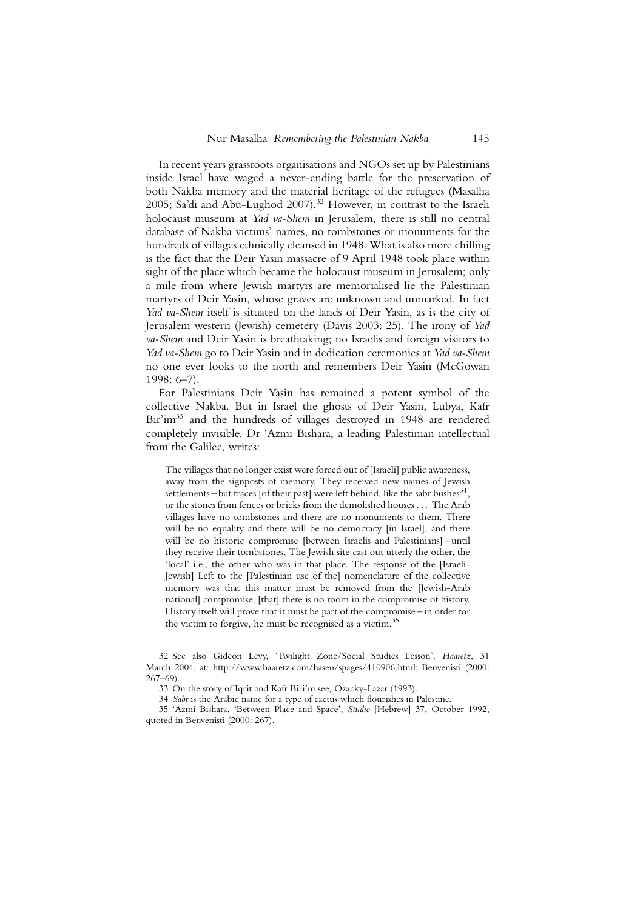In recent years grassroots organisations and NGOs set up by Palestinians inside Israel have waged a never-ending battle for the preservation of both Nakba memory and the material heritage of the refugees (Masalha 2005; Sa'di and Abu-Lughod 2007).<sup>32</sup> However, in contrast to the Israeli holocaust museum at *Yad va-Shem* in Jerusalem, there is still no central database of Nakba victims' names, no tombstones or monuments for the hundreds of villages ethnically cleansed in 1948. What is also more chilling is the fact that the Deir Yasin massacre of 9 April 1948 took place within sight of the place which became the holocaust museum in Jerusalem; only a mile from where Jewish martyrs are memorialised lie the Palestinian martyrs of Deir Yasin, whose graves are unknown and unmarked. In fact *Yad va-Shem* itself is situated on the lands of Deir Yasin, as is the city of Jerusalem western (Jewish) cemetery (Davis 2003: 25). The irony of *Yad va-Shem* and Deir Yasin is breathtaking; no Israelis and foreign visitors to *Yad va-Shem* go to Deir Yasin and in dedication ceremonies at *Yad va-Shem* no one ever looks to the north and remembers Deir Yasin (McGowan 1998: 6–7).

For Palestinians Deir Yasin has remained a potent symbol of the collective Nakba. But in Israel the ghosts of Deir Yasin, Lubya, Kafr Bir'im<sup>33</sup> and the hundreds of villages destroyed in 1948 are rendered completely invisible. Dr 'Azmi Bishara, a leading Palestinian intellectual from the Galilee, writes:

The villages that no longer exist were forced out of [Israeli] public awareness, away from the signposts of memory. They received new names-of Jewish settlements – but traces [of their past] were left behind, like the sabr bushes<sup>34</sup>, or the stones from fences or bricks from the demolished houses . . . The Arab villages have no tombstones and there are no monuments to them. There will be no equality and there will be no democracy [in Israel], and there will be no historic compromise [between Israelis and Palestinians] – until they receive their tombstones. The Jewish site cast out utterly the other, the 'local' i.e., the other who was in that place. The response of the [Israeli-Jewish] Left to the [Palestinian use of the] nomenclature of the collective memory was that this matter must be removed from the [Jewish-Arab national] compromise, [that] there is no room in the compromise of history. History itself will prove that it must be part of the compromise – in order for the victim to forgive, he must be recognised as a victim.<sup>35</sup>

33 On the story of Iqrit and Kafr Biri'm see, Ozacky-Lazar (1993).

34 *Sabr* is the Arabic name for a type of cactus which flourishes in Palestine.

35 'Azmi Bishara, 'Between Place and Space', *Studio* [Hebrew] 37, October 1992, quoted in Benvenisti (2000: 267).

<sup>32</sup> See also Gideon Levy, 'Twilight Zone/Social Studies Lesson', *Haaretz*, 31 March 2004, at: http://www.haaretz.com/hasen/spages/410906.html; Benvenisti (2000: 267–69).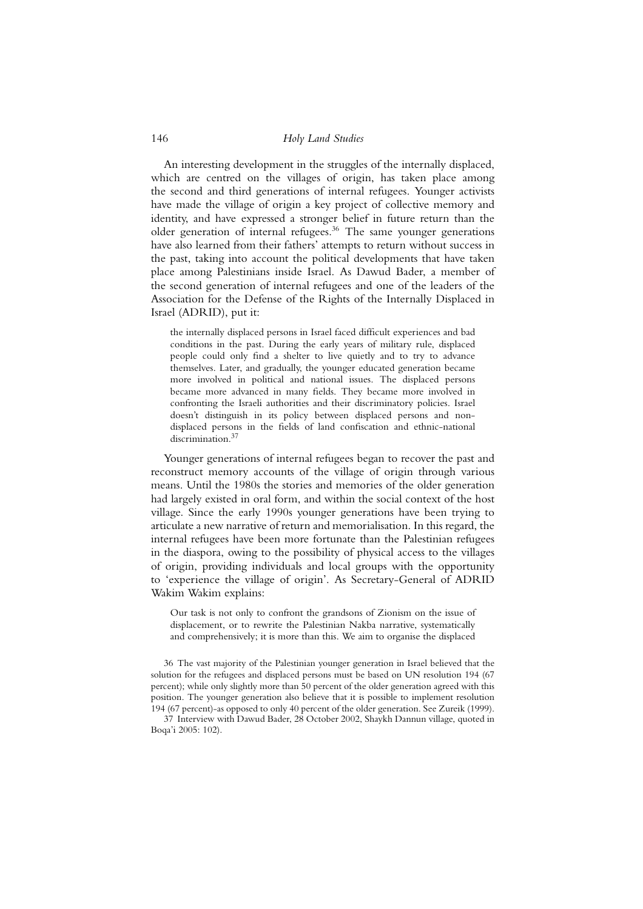An interesting development in the struggles of the internally displaced, which are centred on the villages of origin, has taken place among the second and third generations of internal refugees. Younger activists have made the village of origin a key project of collective memory and identity, and have expressed a stronger belief in future return than the older generation of internal refugees.<sup>36</sup> The same younger generations have also learned from their fathers' attempts to return without success in the past, taking into account the political developments that have taken place among Palestinians inside Israel. As Dawud Bader, a member of the second generation of internal refugees and one of the leaders of the Association for the Defense of the Rights of the Internally Displaced in Israel (ADRID), put it:

the internally displaced persons in Israel faced difficult experiences and bad conditions in the past. During the early years of military rule, displaced people could only find a shelter to live quietly and to try to advance themselves. Later, and gradually, the younger educated generation became more involved in political and national issues. The displaced persons became more advanced in many fields. They became more involved in confronting the Israeli authorities and their discriminatory policies. Israel doesn't distinguish in its policy between displaced persons and nondisplaced persons in the fields of land confiscation and ethnic-national discrimination.<sup>37</sup>

Younger generations of internal refugees began to recover the past and reconstruct memory accounts of the village of origin through various means. Until the 1980s the stories and memories of the older generation had largely existed in oral form, and within the social context of the host village. Since the early 1990s younger generations have been trying to articulate a new narrative of return and memorialisation. In this regard, the internal refugees have been more fortunate than the Palestinian refugees in the diaspora, owing to the possibility of physical access to the villages of origin, providing individuals and local groups with the opportunity to 'experience the village of origin'. As Secretary-General of ADRID Wakim Wakim explains:

Our task is not only to confront the grandsons of Zionism on the issue of displacement, or to rewrite the Palestinian Nakba narrative, systematically and comprehensively; it is more than this. We aim to organise the displaced

36 The vast majority of the Palestinian younger generation in Israel believed that the solution for the refugees and displaced persons must be based on UN resolution 194 (67 percent); while only slightly more than 50 percent of the older generation agreed with this position. The younger generation also believe that it is possible to implement resolution 194 (67 percent)-as opposed to only 40 percent of the older generation. See Zureik (1999).

37 Interview with Dawud Bader, 28 October 2002, Shaykh Dannun village, quoted in Boqa'i 2005: 102).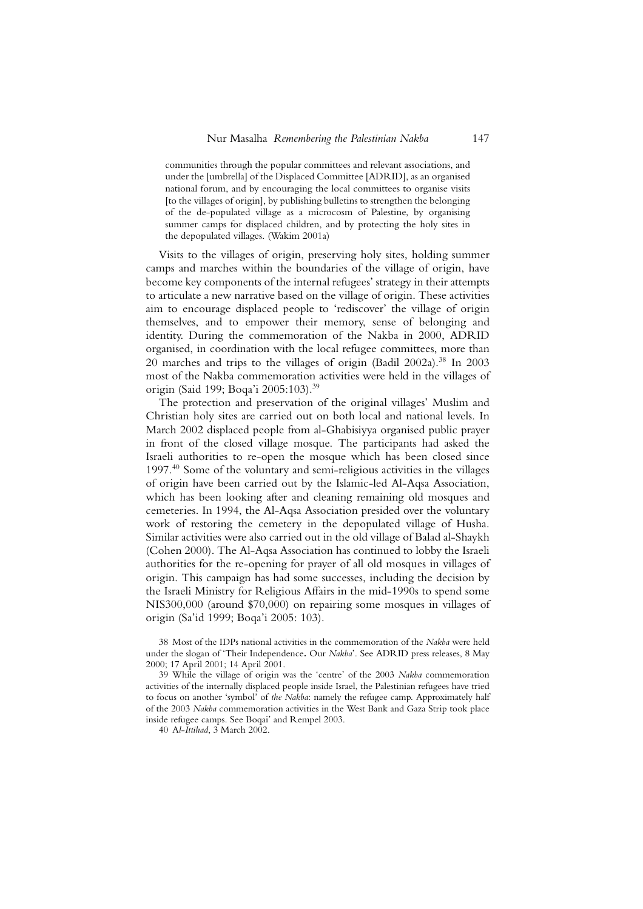communities through the popular committees and relevant associations, and under the [umbrella] of the Displaced Committee [ADRID], as an organised national forum, and by encouraging the local committees to organise visits [to the villages of origin], by publishing bulletins to strengthen the belonging of the de-populated village as a microcosm of Palestine, by organising summer camps for displaced children, and by protecting the holy sites in the depopulated villages. (Wakim 2001a)

Visits to the villages of origin, preserving holy sites, holding summer camps and marches within the boundaries of the village of origin, have become key components of the internal refugees' strategy in their attempts to articulate a new narrative based on the village of origin. These activities aim to encourage displaced people to 'rediscover' the village of origin themselves, and to empower their memory, sense of belonging and identity. During the commemoration of the Nakba in 2000, ADRID organised, in coordination with the local refugee committees, more than 20 marches and trips to the villages of origin (Badil 2002a).<sup>38</sup> In 2003 most of the Nakba commemoration activities were held in the villages of origin (Said 199; Boqa'i 2005:103).39

The protection and preservation of the original villages' Muslim and Christian holy sites are carried out on both local and national levels. In March 2002 displaced people from al-Ghabisiyya organised public prayer in front of the closed village mosque. The participants had asked the Israeli authorities to re-open the mosque which has been closed since 1997.40 Some of the voluntary and semi-religious activities in the villages of origin have been carried out by the Islamic-led Al-Aqsa Association, which has been looking after and cleaning remaining old mosques and cemeteries. In 1994, the Al-Aqsa Association presided over the voluntary work of restoring the cemetery in the depopulated village of Husha. Similar activities were also carried out in the old village of Balad al-Shaykh (Cohen 2000). The Al-Aqsa Association has continued to lobby the Israeli authorities for the re-opening for prayer of all old mosques in villages of origin. This campaign has had some successes, including the decision by the Israeli Ministry for Religious Affairs in the mid-1990s to spend some NIS300,000 (around \$70,000) on repairing some mosques in villages of origin (Sa'id 1999; Boqa'i 2005: 103).

38 Most of the IDPs national activities in the commemoration of the *Nakba* were held under the slogan of 'Their Independence**.** Our *Nakba*'. See ADRID press releases, 8 May 2000; 17 April 2001; 14 April 2001.

39 While the village of origin was the 'centre' of the 2003 *Nakba* commemoration activities of the internally displaced people inside Israel, the Palestinian refugees have tried to focus on another 'symbol' of *the Nakba*: namely the refugee camp. Approximately half of the 2003 *Nakba* commemoration activities in the West Bank and Gaza Strip took place inside refugee camps. See Boqai' and Rempel 2003.

40 A*l*-*Ittihad*, 3 March 2002.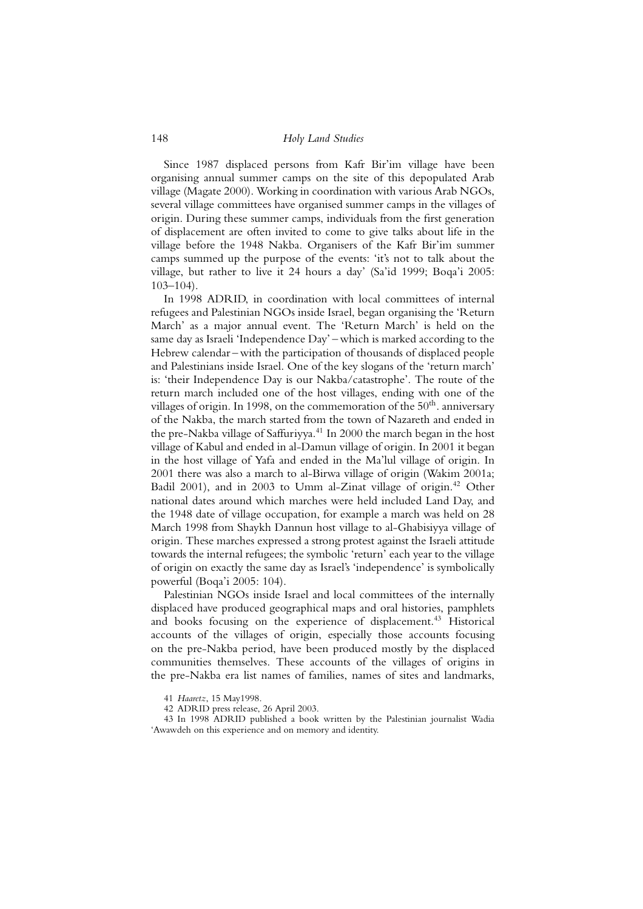Since 1987 displaced persons from Kafr Bir'im village have been organising annual summer camps on the site of this depopulated Arab village (Magate 2000). Working in coordination with various Arab NGOs, several village committees have organised summer camps in the villages of origin. During these summer camps, individuals from the first generation of displacement are often invited to come to give talks about life in the village before the 1948 Nakba. Organisers of the Kafr Bir'im summer camps summed up the purpose of the events: 'it's not to talk about the village, but rather to live it 24 hours a day' (Sa'id 1999; Boqa'i 2005: 103–104).

In 1998 ADRID, in coordination with local committees of internal refugees and Palestinian NGOs inside Israel, began organising the 'Return March' as a major annual event. The 'Return March' is held on the same day as Israeli 'Independence Day' – which is marked according to the Hebrew calendar – with the participation of thousands of displaced people and Palestinians inside Israel. One of the key slogans of the 'return march' is: 'their Independence Day is our Nakba/catastrophe'. The route of the return march included one of the host villages, ending with one of the villages of origin. In 1998, on the commemoration of the  $50<sup>th</sup>$ . anniversary of the Nakba, the march started from the town of Nazareth and ended in the pre-Nakba village of Saffuriyya.<sup>41</sup> In 2000 the march began in the host village of Kabul and ended in al-Damun village of origin. In 2001 it began in the host village of Yafa and ended in the Ma'lul village of origin. In 2001 there was also a march to al-Birwa village of origin (Wakim 2001a; Badil 2001), and in 2003 to Umm al-Zinat village of origin.<sup>42</sup> Other national dates around which marches were held included Land Day, and the 1948 date of village occupation, for example a march was held on 28 March 1998 from Shaykh Dannun host village to al-Ghabisiyya village of origin. These marches expressed a strong protest against the Israeli attitude towards the internal refugees; the symbolic 'return' each year to the village of origin on exactly the same day as Israel's 'independence' is symbolically powerful (Boqa'i 2005: 104).

Palestinian NGOs inside Israel and local committees of the internally displaced have produced geographical maps and oral histories, pamphlets and books focusing on the experience of displacement.<sup>43</sup> Historical accounts of the villages of origin, especially those accounts focusing on the pre-Nakba period, have been produced mostly by the displaced communities themselves. These accounts of the villages of origins in the pre-Nakba era list names of families, names of sites and landmarks,

<sup>41</sup> *Haaretz*, 15 May1998.

<sup>42</sup> ADRID press release, 26 April 2003.

<sup>43</sup> In 1998 ADRID published a book written by the Palestinian journalist Wadia 'Awawdeh on this experience and on memory and identity.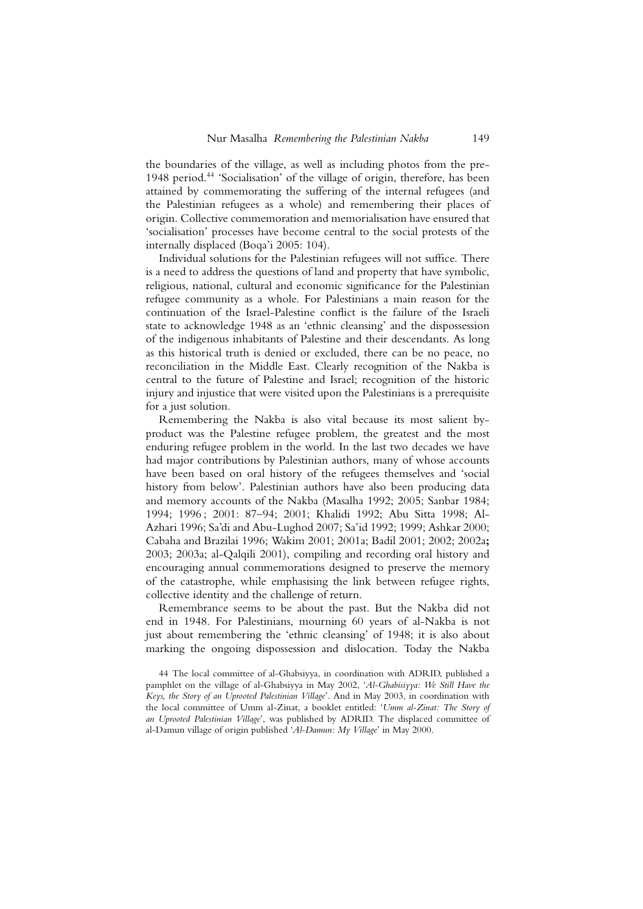the boundaries of the village, as well as including photos from the pre-1948 period.<sup>44</sup> 'Socialisation' of the village of origin, therefore, has been attained by commemorating the suffering of the internal refugees (and the Palestinian refugees as a whole) and remembering their places of origin. Collective commemoration and memorialisation have ensured that 'socialisation' processes have become central to the social protests of the internally displaced (Boqa'i 2005: 104).

Individual solutions for the Palestinian refugees will not suffice. There is a need to address the questions of land and property that have symbolic, religious, national, cultural and economic significance for the Palestinian refugee community as a whole. For Palestinians a main reason for the continuation of the Israel-Palestine conflict is the failure of the Israeli state to acknowledge 1948 as an 'ethnic cleansing' and the dispossession of the indigenous inhabitants of Palestine and their descendants. As long as this historical truth is denied or excluded, there can be no peace, no reconciliation in the Middle East. Clearly recognition of the Nakba is central to the future of Palestine and Israel; recognition of the historic injury and injustice that were visited upon the Palestinians is a prerequisite for a just solution.

Remembering the Nakba is also vital because its most salient byproduct was the Palestine refugee problem, the greatest and the most enduring refugee problem in the world. In the last two decades we have had major contributions by Palestinian authors, many of whose accounts have been based on oral history of the refugees themselves and 'social history from below'. Palestinian authors have also been producing data and memory accounts of the Nakba (Masalha 1992; 2005; Sanbar 1984; 1994; 1996 ; 2001: 87–94; 2001; Khalidi 1992; Abu Sitta 1998; Al-Azhari 1996; Sa'di and Abu-Lughod 2007; Sa'id 1992; 1999; Ashkar 2000; Cabaha and Brazilai 1996; Wakim 2001; 2001a; Badil 2001; 2002; 2002a**;** 2003; 2003a; al-Qalqili 2001), compiling and recording oral history and encouraging annual commemorations designed to preserve the memory of the catastrophe, while emphasising the link between refugee rights, collective identity and the challenge of return.

Remembrance seems to be about the past. But the Nakba did not end in 1948. For Palestinians, mourning 60 years of al-Nakba is not just about remembering the 'ethnic cleansing' of 1948; it is also about marking the ongoing dispossession and dislocation. Today the Nakba

<sup>44</sup> The local committee of al-Ghabsiyya, in coordination with ADRID, published a pamphlet on the village of al-Ghabsiyya in May 2002, '*Al-Ghabisiyya: We Still Have the Keys, the Story of an Uprooted Palestinian Village*'. And in May 2003, in coordination with the local committee of Umm al-Zinat, a booklet entitled: '*Umm al-Zinat: The Story of an Uprooted Palestinian Village*', was published by ADRID. The displaced committee of al-Damun village of origin published '*Al-Damun: My Village*' in May 2000.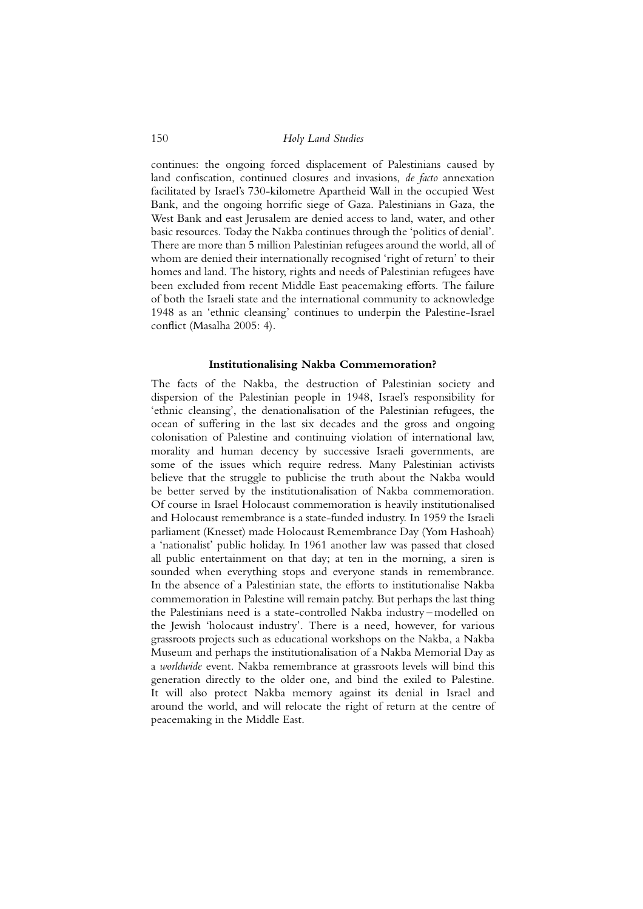continues: the ongoing forced displacement of Palestinians caused by land confiscation, continued closures and invasions, *de facto* annexation facilitated by Israel's 730-kilometre Apartheid Wall in the occupied West Bank, and the ongoing horrific siege of Gaza. Palestinians in Gaza, the West Bank and east Jerusalem are denied access to land, water, and other basic resources. Today the Nakba continues through the 'politics of denial'. There are more than 5 million Palestinian refugees around the world, all of whom are denied their internationally recognised 'right of return' to their homes and land. The history, rights and needs of Palestinian refugees have been excluded from recent Middle East peacemaking efforts. The failure of both the Israeli state and the international community to acknowledge 1948 as an 'ethnic cleansing' continues to underpin the Palestine-Israel conflict (Masalha 2005: 4).

### **Institutionalising Nakba Commemoration?**

The facts of the Nakba, the destruction of Palestinian society and dispersion of the Palestinian people in 1948, Israel's responsibility for 'ethnic cleansing', the denationalisation of the Palestinian refugees, the ocean of suffering in the last six decades and the gross and ongoing colonisation of Palestine and continuing violation of international law, morality and human decency by successive Israeli governments, are some of the issues which require redress. Many Palestinian activists believe that the struggle to publicise the truth about the Nakba would be better served by the institutionalisation of Nakba commemoration. Of course in Israel Holocaust commemoration is heavily institutionalised and Holocaust remembrance is a state-funded industry. In 1959 the Israeli parliament (Knesset) made Holocaust Remembrance Day (Yom Hashoah) a 'nationalist' public holiday. In 1961 another law was passed that closed all public entertainment on that day; at ten in the morning, a siren is sounded when everything stops and everyone stands in remembrance. In the absence of a Palestinian state, the efforts to institutionalise Nakba commemoration in Palestine will remain patchy. But perhaps the last thing the Palestinians need is a state-controlled Nakba industry – modelled on the Jewish 'holocaust industry'. There is a need, however, for various grassroots projects such as educational workshops on the Nakba, a Nakba Museum and perhaps the institutionalisation of a Nakba Memorial Day as a *worldwide* event. Nakba remembrance at grassroots levels will bind this generation directly to the older one, and bind the exiled to Palestine. It will also protect Nakba memory against its denial in Israel and around the world, and will relocate the right of return at the centre of peacemaking in the Middle East.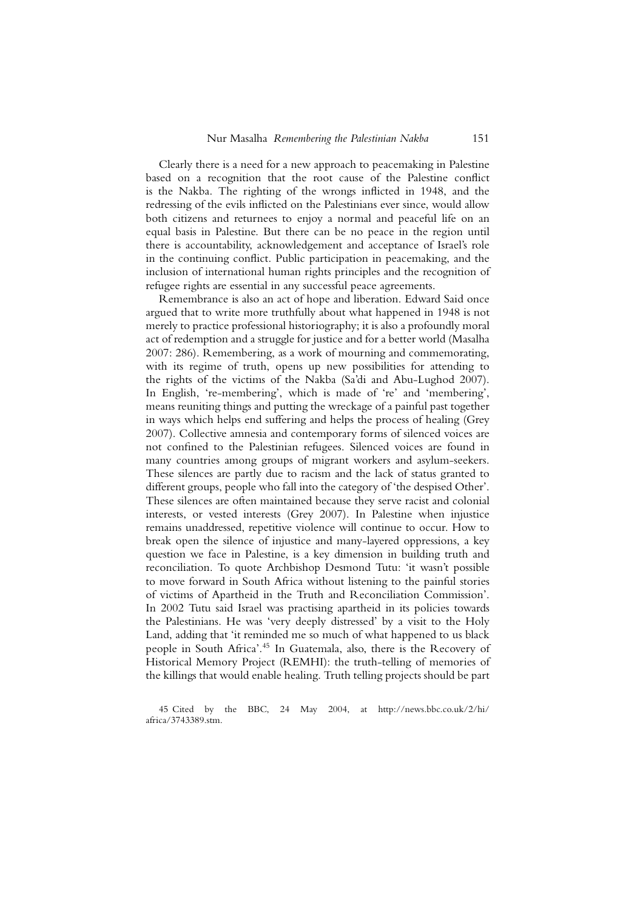Clearly there is a need for a new approach to peacemaking in Palestine based on a recognition that the root cause of the Palestine conflict is the Nakba. The righting of the wrongs inflicted in 1948, and the redressing of the evils inflicted on the Palestinians ever since, would allow both citizens and returnees to enjoy a normal and peaceful life on an equal basis in Palestine. But there can be no peace in the region until there is accountability, acknowledgement and acceptance of Israel's role in the continuing conflict. Public participation in peacemaking, and the inclusion of international human rights principles and the recognition of refugee rights are essential in any successful peace agreements.

Remembrance is also an act of hope and liberation. Edward Said once argued that to write more truthfully about what happened in 1948 is not merely to practice professional historiography; it is also a profoundly moral act of redemption and a struggle for justice and for a better world (Masalha 2007: 286). Remembering, as a work of mourning and commemorating, with its regime of truth, opens up new possibilities for attending to the rights of the victims of the Nakba (Sa'di and Abu-Lughod 2007). In English, 're-membering', which is made of 're' and 'membering', means reuniting things and putting the wreckage of a painful past together in ways which helps end suffering and helps the process of healing (Grey 2007). Collective amnesia and contemporary forms of silenced voices are not confined to the Palestinian refugees. Silenced voices are found in many countries among groups of migrant workers and asylum-seekers. These silences are partly due to racism and the lack of status granted to different groups, people who fall into the category of 'the despised Other'. These silences are often maintained because they serve racist and colonial interests, or vested interests (Grey 2007). In Palestine when injustice remains unaddressed, repetitive violence will continue to occur. How to break open the silence of injustice and many-layered oppressions, a key question we face in Palestine, is a key dimension in building truth and reconciliation. To quote Archbishop Desmond Tutu: 'it wasn't possible to move forward in South Africa without listening to the painful stories of victims of Apartheid in the Truth and Reconciliation Commission'. In 2002 Tutu said Israel was practising apartheid in its policies towards the Palestinians. He was 'very deeply distressed' by a visit to the Holy Land, adding that 'it reminded me so much of what happened to us black people in South Africa'.45 In Guatemala, also, there is the Recovery of Historical Memory Project (REMHI): the truth-telling of memories of the killings that would enable healing. Truth telling projects should be part

<sup>45</sup> Cited by the BBC, 24 May 2004, at http://news.bbc.co.uk/2/hi/ africa/3743389.stm.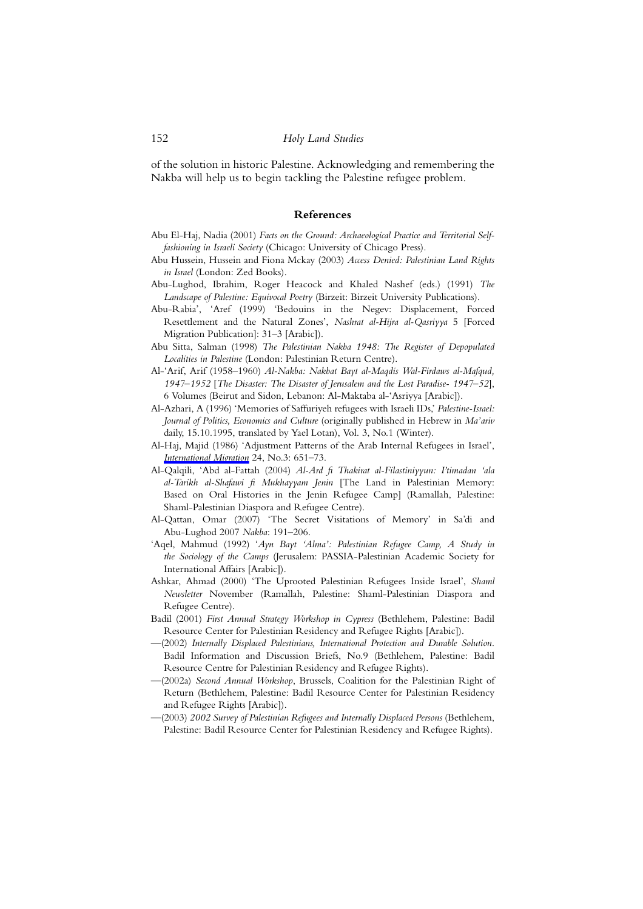of the solution in historic Palestine. Acknowledging and remembering the Nakba will help us to begin tackling the Palestine refugee problem.

#### **References**

- Abu El-Haj, Nadia (2001) *Facts on the Ground: Archaeological Practice and Territorial Selffashioning in Israeli Society* (Chicago: University of Chicago Press).
- Abu Hussein, Hussein and Fiona Mckay (2003) *Access Denied: Palestinian Land Rights in Israel* (London: Zed Books).
- Abu-Lughod, Ibrahim, Roger Heacock and Khaled Nashef (eds.) (1991) *The Landscape of Palestine: Equivocal Poetry* (Birzeit: Birzeit University Publications).
- Abu-Rabia', 'Aref (1999) 'Bedouins in the Negev: Displacement, Forced Resettlement and the Natural Zones', *Nashrat al-Hijra al-Qasriyya* 5 [Forced Migration Publication]: 31–3 [Arabic]).
- Abu Sitta, Salman (1998) *The Palestinian Nakba 1948: The Register of Depopulated Localities in Palestine* (London: Palestinian Return Centre).
- Al-'Arif, Arif (1958–1960) *Al-Nakba: Nakbat Bayt al-Maqdis Wal-Firdaws al-Mafqud, 1947–1952* [*The Disaster: The Disaster of Jerusalem and the Lost Paradise- 1947–52*], 6 Volumes (Beirut and Sidon, Lebanon: Al-Maktaba al-'Asriyya [Arabic]).
- Al-Azhari, A (1996) 'Memories of Saffuriyeh refugees with Israeli IDs,' *Palestine-Israel: Journal of Politics, Economics and Culture* (originally published in Hebrew in *Ma'ariv* daily, 15.10.1995, translated by Yael Lotan), Vol. 3, No.1 (Winter).
- Al-Haj, Majid (1986) 'Adjustment Patterns of the Arab Internal Refugees in Israel', *International Migration* 24, No.3: 651–73.
- Al-Qalqili, 'Abd al-Fattah (2004) *Al-Ard fi Thakirat al-Filastiniyyun: I'timadan 'ala al-Tarikh al-Shafawi fi Mukhayyam Jenin* [The Land in Palestinian Memory: Based on Oral Histories in the Jenin Refugee Camp] (Ramallah, Palestine: Shaml-Palestinian Diaspora and Refugee Centre).
- Al-Qattan, Omar (2007) 'The Secret Visitations of Memory' in Sa'di and Abu-Lughod 2007 *Nakba*: 191–206.
- 'Aqel, Mahmud (1992) '*Ayn Bayt 'Alma': Palestinian Refugee Camp, A Study in the Sociology of the Camps* (Jerusalem: PASSIA-Palestinian Academic Society for International Affairs [Arabic]).
- Ashkar, Ahmad (2000) 'The Uprooted Palestinian Refugees Inside Israel', *Shaml Newsletter* November (Ramallah, Palestine: Shaml-Palestinian Diaspora and Refugee Centre).
- Badil (2001) *First Annual Strategy Workshop in Cypress* (Bethlehem, Palestine: Badil Resource Center for Palestinian Residency and Refugee Rights [Arabic]).
- —(2002) *Internally Displaced Palestinians, International Protection and Durable Solution*. Badil Information and Discussion Briefs, No.9 (Bethlehem, Palestine: Badil Resource Centre for Palestinian Residency and Refugee Rights).
- —(2002a) *Second Annual Workshop*, Brussels, Coalition for the Palestinian Right of Return (Bethlehem, Palestine: Badil Resource Center for Palestinian Residency and Refugee Rights [Arabic]).
- —(2003) *2002 Survey of Palestinian Refugees and Internally Displaced Persons* (Bethlehem, Palestine: Badil Resource Center for Palestinian Residency and Refugee Rights).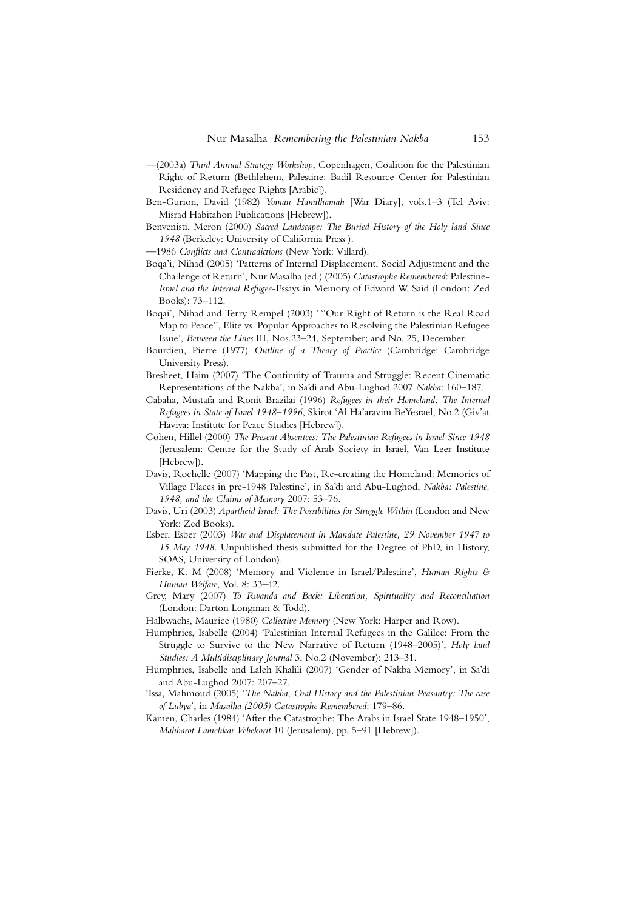- —(2003a) *Third Annual Strategy Workshop*, Copenhagen, Coalition for the Palestinian Right of Return (Bethlehem, Palestine: Badil Resource Center for Palestinian Residency and Refugee Rights [Arabic]).
- Ben-Gurion, David (1982) *Yoman Hamilhamah* [War Diary], vols.1–3 (Tel Aviv: Misrad Habitahon Publications [Hebrew]).
- Benvenisti, Meron (2000) *Sacred Landscape: The Buried History of the Holy land Since 1948* (Berkeley: University of California Press ).

—1986 *Conflicts and Contradictions* (New York: Villard).

- Boqa'i, Nihad (2005) 'Patterns of Internal Displacement, Social Adjustment and the Challenge of Return', Nur Masalha (ed.) (2005) *Catastrophe Remembered*: Palestine-*Israel and the Internal Refugee*-Essays in Memory of Edward W. Said (London: Zed Books): 73–112.
- Boqai', Nihad and Terry Rempel (2003) ' "Our Right of Return is the Real Road Map to Peace", Elite vs. Popular Approaches to Resolving the Palestinian Refugee Issue', *Between the Lines* III, Nos.23–24, September; and No. 25, December.
- Bourdieu, Pierre (1977) *Outline of a Theory of Practice* (Cambridge: Cambridge University Press).
- Bresheet, Haim (2007) 'The Continuity of Trauma and Struggle: Recent Cinematic Representations of the Nakba', in Sa'di and Abu-Lughod 2007 *Nakba*: 160–187.
- Cabaha, Mustafa and Ronit Brazilai (1996) *Refugees in their Homeland: The Internal Refugees in State of Israel 1948–1996*, Skirot 'Al Ha'aravim BeYesrael, No.2 (Giv'at Haviva: Institute for Peace Studies [Hebrew]).
- Cohen, Hillel (2000) *The Present Absentees: The Palestinian Refugees in Israel Since 1948* (Jerusalem: Centre for the Study of Arab Society in Israel, Van Leer Institute [Hebrew]).
- Davis, Rochelle (2007) 'Mapping the Past, Re-creating the Homeland: Memories of Village Places in pre-1948 Palestine', in Sa'di and Abu-Lughod, *Nakba: Palestine, 1948, and the Claims of Memory* 2007: 53–76.
- Davis, Uri (2003) *Apartheid Israel: The Possibilities for Struggle Within* (London and New York: Zed Books)
- Esber, Esber (2003) *War and Displacement in Mandate Palestine, 29 November 1947 to 15 May 1948*. Unpublished thesis submitted for the Degree of PhD, in History, SOAS, University of London).
- Fierke, K. M (2008) 'Memory and Violence in Israel/Palestine', *Human Rights & Human Welfare*, Vol. 8: 33–42.
- Grey, Mary (2007) *To Rwanda and Back: Liberation, Spirituality and Reconciliation* (London: Darton Longman & Todd).
- Halbwachs, Maurice (1980) *Collective Memory* (New York: Harper and Row).
- Humphries, Isabelle (2004) 'Palestinian Internal Refugees in the Galilee: From the Struggle to Survive to the New Narrative of Return (1948–2005)', *Holy land Studies: A Multidisciplinary Journal* 3, No.2 (November): 213–31.
- Humphries, Isabelle and Laleh Khalili (2007) 'Gender of Nakba Memory', in Sa'di and Abu-Lughod 2007: 207–27.
- 'Issa, Mahmoud (2005) '*The Nakba, Oral History and the Palestinian Peasantry: The case of Lubya*', in *Masalha (2005) Catastrophe Remembered*: 179–86.
- Kamen, Charles (1984) 'After the Catastrophe: The Arabs in Israel State 1948–1950', *Mahbarot Lamehkar Vebekorit* 10 (Jerusalem), pp. 5–91 [Hebrew]).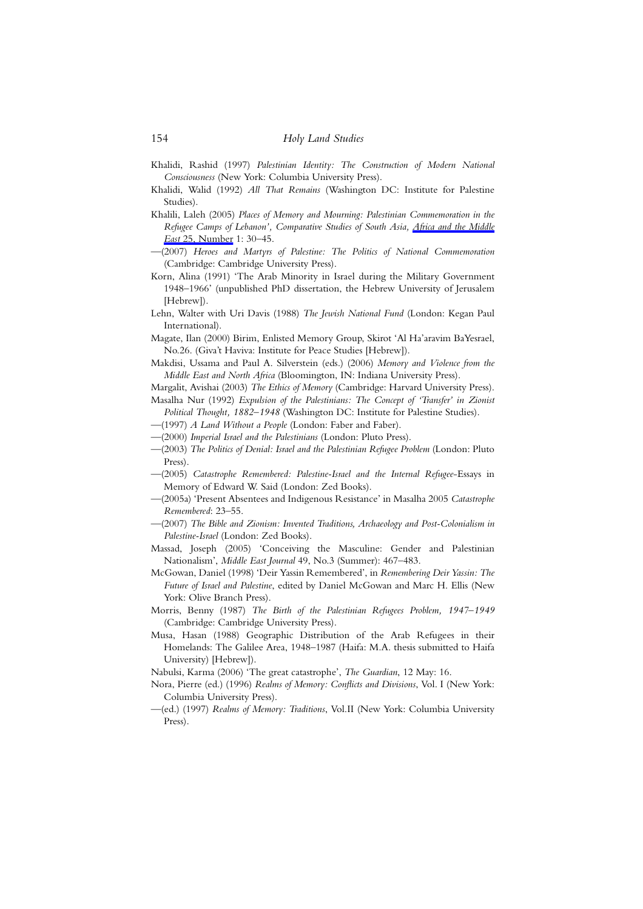- Khalidi, Rashid (1997) *Palestinian Identity: The Construction of Modern National Consciousness* (New York: Columbia University Press).
- Khalidi, Walid (1992) *All That Remains* (Washington DC: Institute for Palestine Studies).
- Khalili, Laleh (2005) *Places of Memory and Mourning: Palestinian Commemoration in the Refugee Camps of Lebanon', Comparative Studies of South Asia, Africa and the Middle East* 25, Number 1: 30–45.
- —(2007) *Heroes and Martyrs of Palestine: The Politics of National Commemoration* (Cambridge: Cambridge University Press).
- Korn, Alina (1991) 'The Arab Minority in Israel during the Military Government 1948–1966' (unpublished PhD dissertation, the Hebrew University of Jerusalem [Hebrew]).
- Lehn, Walter with Uri Davis (1988) *The Jewish National Fund* (London: Kegan Paul International).
- Magate, Ilan (2000) Birim, Enlisted Memory Group, Skirot 'Al Ha'aravim BaYesrael, No.26. (Giva't Haviva: Institute for Peace Studies [Hebrew]).
- Makdisi, Ussama and Paul A. Silverstein (eds.) (2006) *Memory and Violence from the Middle East and North Africa* (Bloomington, IN: Indiana University Press).

Margalit, Avishai (2003) *The Ethics of Memory* (Cambridge: Harvard University Press). Masalha Nur (1992) *Expulsion of the Palestinians: The Concept of 'Transfer' in Zionist*

- *Political Thought, 1882–1948* (Washington DC: Institute for Palestine Studies).
- —(1997) *A Land Without a People* (London: Faber and Faber).
- —(2000) *Imperial Israel and the Palestinians* (London: Pluto Press).
- —(2003) *The Politics of Denial: Israel and the Palestinian Refugee Problem* (London: Pluto Press).
- —(2005) *Catastrophe Remembered: Palestine-Israel and the Internal Refugee*-Essays in Memory of Edward W. Said (London: Zed Books).
- —(2005a) 'Present Absentees and Indigenous Resistance' in Masalha 2005 *Catastrophe Remembered*: 23–55.
- —(2007) *The Bible and Zionism: Invented Traditions, Archaeology and Post-Colonialism in Palestine-Israel* (London: Zed Books).
- Massad, Joseph (2005) 'Conceiving the Masculine: Gender and Palestinian Nationalism', *Middle East Journal* 49, No.3 (Summer): 467–483.
- McGowan, Daniel (1998) 'Deir Yassin Remembered', in *Remembering Deir Yassin: The Future of Israel and Palestine*, edited by Daniel McGowan and Marc H. Ellis (New York: Olive Branch Press).
- Morris, Benny (1987) *The Birth of the Palestinian Refugees Problem, 1947–1949* (Cambridge: Cambridge University Press).
- Musa, Hasan (1988) Geographic Distribution of the Arab Refugees in their Homelands: The Galilee Area, 1948–1987 (Haifa: M.A. thesis submitted to Haifa University) [Hebrew]).

Nabulsi, Karma (2006) 'The great catastrophe', *The Guardian*, 12 May: 16.

- Nora, Pierre (ed.) (1996) *Realms of Memory: Conflicts and Divisions*, Vol. I (New York: Columbia University Press).
- —(ed.) (1997) *Realms of Memory: Traditions*, Vol.II (New York: Columbia University Press).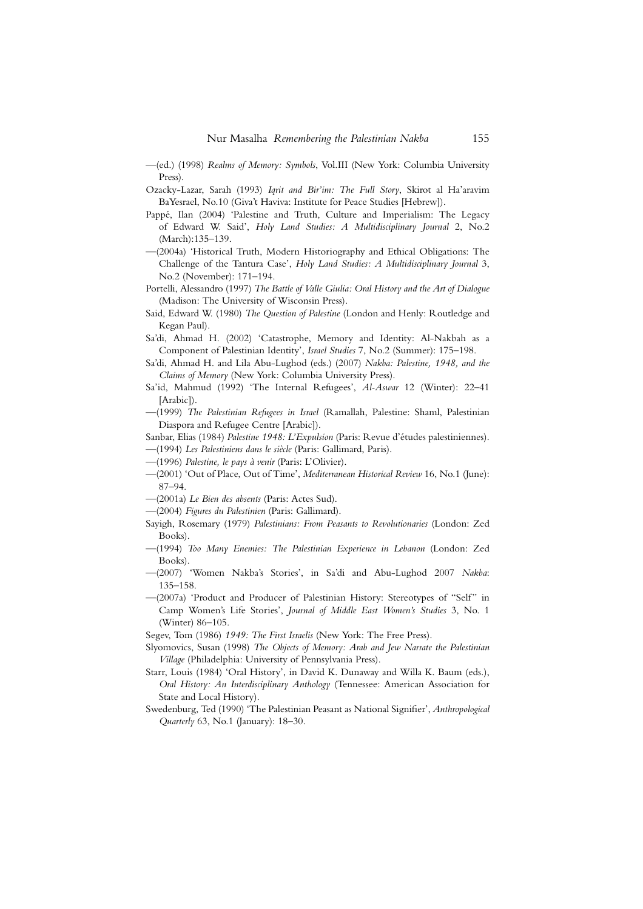- —(ed.) (1998) *Realms of Memory: Symbols*, Vol.III (New York: Columbia University Press).
- Ozacky-Lazar, Sarah (1993) *Iqrit and Bir'im: The Full Story*, Skirot al Ha'aravim BaYesrael, No.10 (Giva't Haviva: Institute for Peace Studies [Hebrew]).
- Pappé, Ilan (2004) 'Palestine and Truth, Culture and Imperialism: The Legacy of Edward W. Said', *Holy Land Studies: A Multidisciplinary Journal* 2, No.2 (March):135–139.
- —(2004a) 'Historical Truth, Modern Historiography and Ethical Obligations: The Challenge of the Tantura Case', *Holy Land Studies: A Multidisciplinary Journal* 3, No.2 (November): 171–194.
- Portelli, Alessandro (1997) *The Battle of Valle Giulia: Oral History and the Art of Dialogue* (Madison: The University of Wisconsin Press).
- Said, Edward W. (1980) *The Question of Palestine* (London and Henly: Routledge and Kegan Paul).
- Sa'di, Ahmad H. (2002) 'Catastrophe, Memory and Identity: Al-Nakbah as a Component of Palestinian Identity', *Israel Studies* 7, No.2 (Summer): 175–198.
- Sa'di, Ahmad H. and Lila Abu-Lughod (eds.) (2007) *Nakba: Palestine, 1948, and the Claims of Memory* (New York: Columbia University Press).
- Sa'id, Mahmud (1992) 'The Internal Refugees', *Al-Aswar* 12 (Winter): 22–41 [Arabic]).
- —(1999) *The Palestinian Refugees in Israel* (Ramallah, Palestine: Shaml, Palestinian Diaspora and Refugee Centre [Arabic]).
- Sanbar, Elias (1984) *Palestine 1948: L'Expulsion* (Paris: Revue d'études palestiniennes).
- —(1994) *Les Palestiniens dans le siècle* (Paris: Gallimard, Paris).
- —(1996) *Palestine, le pays à venir* (Paris: L'Olivier).
- —(2001) 'Out of Place, Out of Time', *Mediterranean Historical Review* 16, No.1 (June): 87–94.
- —(2001a) *Le Bien des absents* (Paris: Actes Sud).
- —(2004) *Figures du Palestinien* (Paris: Gallimard).
- Sayigh, Rosemary (1979) *Palestinians: From Peasants to Revolutionaries* (London: Zed Books).
- —(1994) *Too Many Enemies: The Palestinian Experience in Lebanon* (London: Zed Books).
- —(2007) 'Women Nakba's Stories', in Sa'di and Abu-Lughod 2007 *Nakba*: 135–158.
- -(2007a) 'Product and Producer of Palestinian History: Stereotypes of "Self" in Camp Women's Life Stories', *Journal of Middle East Women's Studies* 3, No. 1 (Winter) 86–105.

Segev, Tom (1986) *1949: The First Israelis* (New York: The Free Press).

- Slyomovics, Susan (1998) *The Objects of Memory: Arab and Jew Narrate the Palestinian Village* (Philadelphia: University of Pennsylvania Press).
- Starr, Louis (1984) 'Oral History', in David K. Dunaway and Willa K. Baum (eds.), *Oral History: An Interdisciplinary Anthology* (Tennessee: American Association for State and Local History).
- Swedenburg, Ted (1990) 'The Palestinian Peasant as National Signifier', *Anthropological Quarterly* 63, No.1 (January): 18–30.